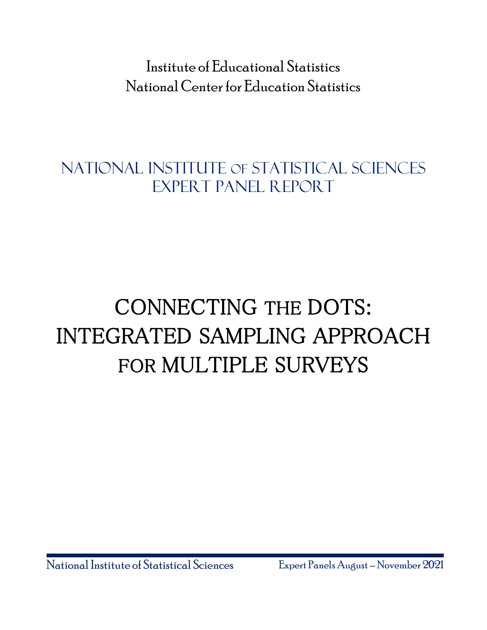Institute of Educational Statistics National Center for Education Statistics

National Institute OF Statistical Sciences Expert Panel Report

# CONNECTING THE DOTS: INTEGRATED SAMPLING APPROACH FOR MULTIPLE SURVEYS

National Institute of Statistical Sciences Expert Panels August –November 2021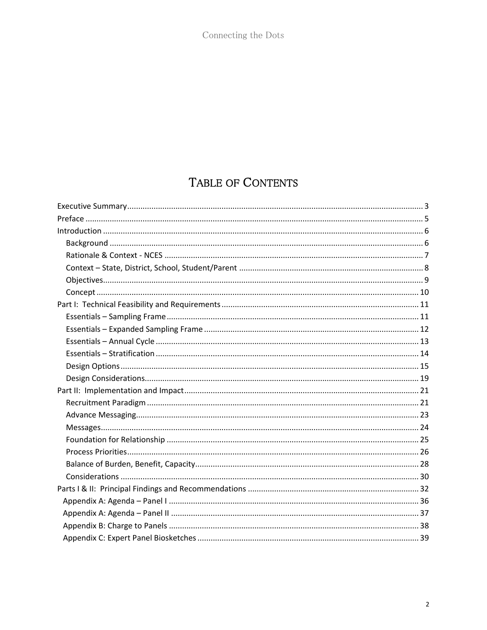# TABLE OF CONTENTS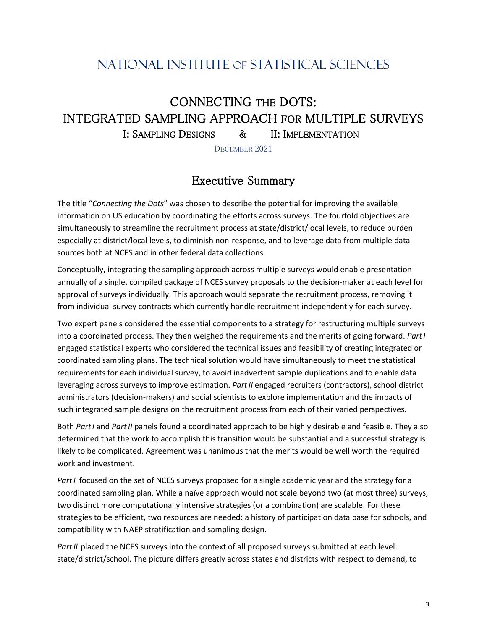# NATIONAL INSTITUTE OF STATISTICAL SCIENCES

# CONNECTING THE DOTS: INTEGRATED SAMPLING APPROACH FOR MULTIPLE SURVEYS I: SAMPLING DESIGNS & II: IMPLEMENTATION

DECEMBER 2021

# Executive Summary

<span id="page-2-0"></span>The title "*Connecting the Dots*" was chosen to describe the potential for improving the available information on US education by coordinating the efforts across surveys. The fourfold objectives are simultaneously to streamline the recruitment process at state/district/local levels, to reduce burden especially at district/local levels, to diminish non-response, and to leverage data from multiple data sources both at NCES and in other federal data collections.

Conceptually, integrating the sampling approach across multiple surveys would enable presentation annually of a single, compiled package of NCES survey proposals to the decision-maker at each level for approval of surveys individually. This approach would separate the recruitment process, removing it from individual survey contracts which currently handle recruitment independently for each survey.

Two expert panels considered the essential components to a strategy for restructuring multiple surveys into a coordinated process. They then weighed the requirements and the merits of going forward. *Part I* engaged statistical experts who considered the technical issues and feasibility of creating integrated or coordinated sampling plans. The technical solution would have simultaneously to meet the statistical requirements for each individual survey, to avoid inadvertent sample duplications and to enable data leveraging across surveys to improve estimation. *Part II* engaged recruiters (contractors), school district administrators (decision-makers) and social scientists to explore implementation and the impacts of such integrated sample designs on the recruitment process from each of their varied perspectives.

Both *Part I* and *Part II* panels found a coordinated approach to be highly desirable and feasible. They also determined that the work to accomplish this transition would be substantial and a successful strategy is likely to be complicated. Agreement was unanimous that the merits would be well worth the required work and investment.

*Part I* focused on the set of NCES surveys proposed for a single academic year and the strategy for a coordinated sampling plan. While a naïve approach would not scale beyond two (at most three) surveys, two distinct more computationally intensive strategies (or a combination) are scalable. For these strategies to be efficient, two resources are needed: a history of participation data base for schools, and compatibility with NAEP stratification and sampling design.

Part II placed the NCES surveys into the context of all proposed surveys submitted at each level: state/district/school. The picture differs greatly across states and districts with respect to demand, to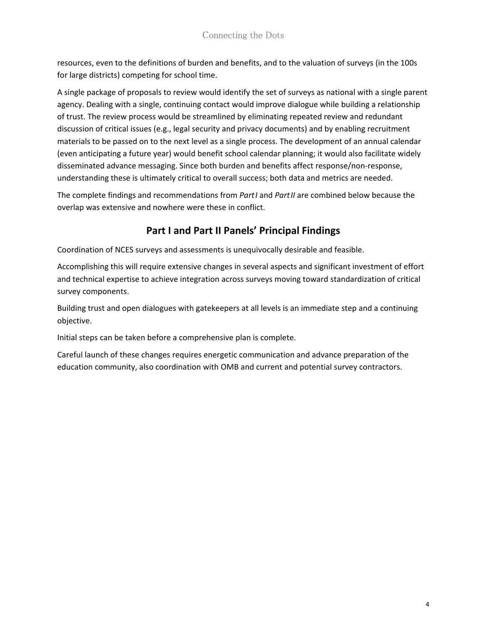resources, even to the definitions of burden and benefits, and to the valuation of surveys (in the 100s for large districts) competing for school time.

A single package of proposals to review would identify the set of surveys as national with a single parent agency. Dealing with a single, continuing contact would improve dialogue while building a relationship of trust. The review process would be streamlined by eliminating repeated review and redundant discussion of critical issues (e.g., legal security and privacy documents) and by enabling recruitment materials to be passed on to the next level as a single process. The development of an annual calendar (even anticipating a future year) would benefit school calendar planning; it would also facilitate widely disseminated advance messaging. Since both burden and benefits affect response/non-response, understanding these is ultimately critical to overall success; both data and metrics are needed.

The complete findings and recommendations from *Part I* and *Part II* are combined below because the overlap was extensive and nowhere were these in conflict.

# **Part I and Part II Panels' Principal Findings**

Coordination of NCES surveys and assessments is unequivocally desirable and feasible.

Accomplishing this will require extensive changes in several aspects and significant investment of effort and technical expertise to achieve integration across surveys moving toward standardization of critical survey components.

Building trust and open dialogues with gatekeepers at all levels is an immediate step and a continuing objective.

Initial steps can be taken before a comprehensive plan is complete.

Careful launch of these changes requires energetic communication and advance preparation of the education community, also coordination with OMB and current and potential survey contractors.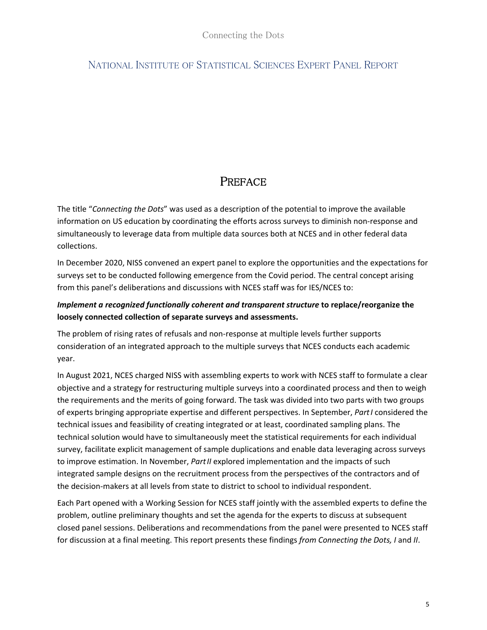# NATIONAL INSTITUTE OF STATISTICAL SCIENCES EXPERT PANEL REPORT

# **PREFACE**

<span id="page-4-0"></span>The title "*Connecting the Dots*" was used as a description of the potential to improve the available information on US education by coordinating the efforts across surveys to diminish non-response and simultaneously to leverage data from multiple data sources both at NCES and in other federal data collections.

In December 2020, NISS convened an expert panel to explore the opportunities and the expectations for surveys set to be conducted following emergence from the Covid period. The central concept arising from this panel's deliberations and discussions with NCES staff was for IES/NCES to:

# *Implement a recognized functionally coherent and transparent structure* **to replace/reorganize the loosely connected collection of separate surveys and assessments.**

The problem of rising rates of refusals and non-response at multiple levels further supports consideration of an integrated approach to the multiple surveys that NCES conducts each academic year.

In August 2021, NCES charged NISS with assembling experts to work with NCES staff to formulate a clear objective and a strategy for restructuring multiple surveys into a coordinated process and then to weigh the requirements and the merits of going forward. The task was divided into two parts with two groups of experts bringing appropriate expertise and different perspectives. In September, *Part I* considered the technical issues and feasibility of creating integrated or at least, coordinated sampling plans. The technical solution would have to simultaneously meet the statistical requirements for each individual survey, facilitate explicit management of sample duplications and enable data leveraging across surveys to improve estimation. In November, *Part II* explored implementation and the impacts of such integrated sample designs on the recruitment process from the perspectives of the contractors and of the decision-makers at all levels from state to district to school to individual respondent.

Each Part opened with a Working Session for NCES staff jointly with the assembled experts to define the problem, outline preliminary thoughts and set the agenda for the experts to discuss at subsequent closed panel sessions. Deliberations and recommendations from the panel were presented to NCES staff for discussion at a final meeting. This report presents these findings *from Connecting the Dots, I* and *II*.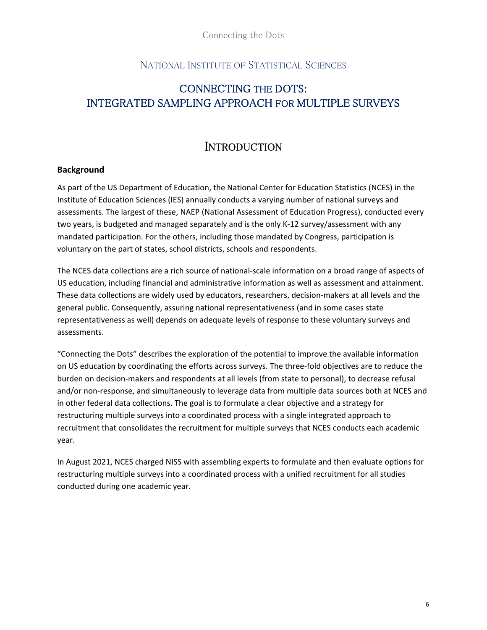# NATIONAL INSTITUTE OF STATISTICAL SCIENCES

# CONNECTING THE DOTS: INTEGRATED SAMPLING APPROACH FOR MULTIPLE SURVEYS

# **INTRODUCTION**

#### <span id="page-5-1"></span><span id="page-5-0"></span>**Background**

As part of the US Department of Education, the National Center for Education Statistics (NCES) in the Institute of Education Sciences (IES) annually conducts a varying number of national surveys and assessments. The largest of these, NAEP (National Assessment of Education Progress), conducted every two years, is budgeted and managed separately and is the only K-12 survey/assessment with any mandated participation. For the others, including those mandated by Congress, participation is voluntary on the part of states, school districts, schools and respondents.

The NCES data collections are a rich source of national-scale information on a broad range of aspects of US education, including financial and administrative information as well as assessment and attainment. These data collections are widely used by educators, researchers, decision-makers at all levels and the general public. Consequently, assuring national representativeness (and in some cases state representativeness as well) depends on adequate levels of response to these voluntary surveys and assessments.

"Connecting the Dots" describes the exploration of the potential to improve the available information on US education by coordinating the efforts across surveys. The three-fold objectives are to reduce the burden on decision-makers and respondents at all levels (from state to personal), to decrease refusal and/or non-response, and simultaneously to leverage data from multiple data sources both at NCES and in other federal data collections. The goal is to formulate a clear objective and a strategy for restructuring multiple surveys into a coordinated process with a single integrated approach to recruitment that consolidates the recruitment for multiple surveys that NCES conducts each academic year.

In August 2021, NCES charged NISS with assembling experts to formulate and then evaluate options for restructuring multiple surveys into a coordinated process with a unified recruitment for all studies conducted during one academic year.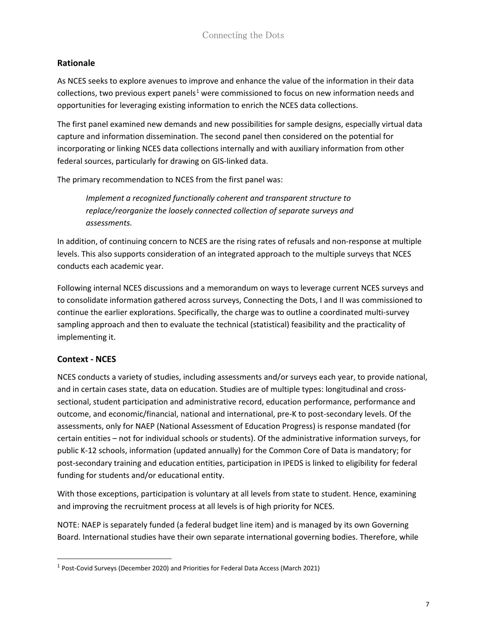### <span id="page-6-0"></span>**Rationale**

As NCES seeks to explore avenues to improve and enhance the value of the information in their data collections, two previous expert panels<sup>[1](#page-6-1)</sup> were commissioned to focus on new information needs and opportunities for leveraging existing information to enrich the NCES data collections.

The first panel examined new demands and new possibilities for sample designs, especially virtual data capture and information dissemination. The second panel then considered on the potential for incorporating or linking NCES data collections internally and with auxiliary information from other federal sources, particularly for drawing on GIS-linked data.

The primary recommendation to NCES from the first panel was:

*Implement a recognized functionally coherent and transparent structure to replace/reorganize the loosely connected collection of separate surveys and assessments.*

In addition, of continuing concern to NCES are the rising rates of refusals and non-response at multiple levels. This also supports consideration of an integrated approach to the multiple surveys that NCES conducts each academic year.

Following internal NCES discussions and a memorandum on ways to leverage current NCES surveys and to consolidate information gathered across surveys, Connecting the Dots, I and II was commissioned to continue the earlier explorations. Specifically, the charge was to outline a coordinated multi-survey sampling approach and then to evaluate the technical (statistical) feasibility and the practicality of implementing it.

# **Context - NCES**

NCES conducts a variety of studies, including assessments and/or surveys each year, to provide national, and in certain cases state, data on education. Studies are of multiple types: longitudinal and crosssectional, student participation and administrative record, education performance, performance and outcome, and economic/financial, national and international, pre-K to post-secondary levels. Of the assessments, only for NAEP (National Assessment of Education Progress) is response mandated (for certain entities – not for individual schools or students). Of the administrative information surveys, for public K-12 schools, information (updated annually) for the Common Core of Data is mandatory; for post-secondary training and education entities, participation in IPEDS is linked to eligibility for federal funding for students and/or educational entity.

With those exceptions, participation is voluntary at all levels from state to student. Hence, examining and improving the recruitment process at all levels is of high priority for NCES.

NOTE: NAEP is separately funded (a federal budget line item) and is managed by its own Governing Board. International studies have their own separate international governing bodies. Therefore, while

<span id="page-6-1"></span><sup>1</sup> Post-Covid Surveys (December 2020) and Priorities for Federal Data Access (March 2021)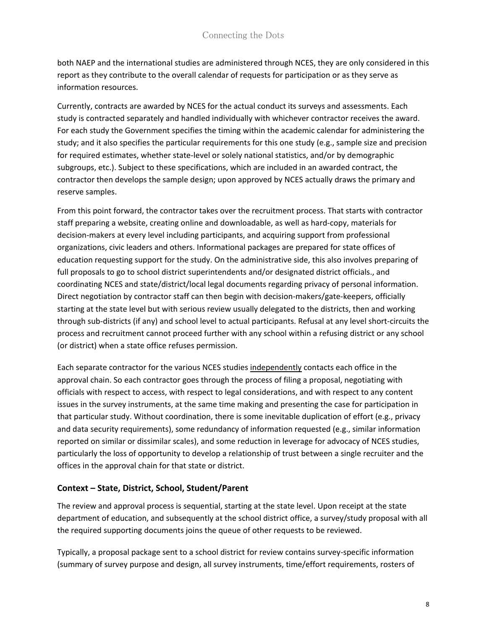both NAEP and the international studies are administered through NCES, they are only considered in this report as they contribute to the overall calendar of requests for participation or as they serve as information resources.

Currently, contracts are awarded by NCES for the actual conduct its surveys and assessments. Each study is contracted separately and handled individually with whichever contractor receives the award. For each study the Government specifies the timing within the academic calendar for administering the study; and it also specifies the particular requirements for this one study (e.g., sample size and precision for required estimates, whether state-level or solely national statistics, and/or by demographic subgroups, etc.). Subject to these specifications, which are included in an awarded contract, the contractor then develops the sample design; upon approved by NCES actually draws the primary and reserve samples.

From this point forward, the contractor takes over the recruitment process. That starts with contractor staff preparing a website, creating online and downloadable, as well as hard-copy, materials for decision-makers at every level including participants, and acquiring support from professional organizations, civic leaders and others. Informational packages are prepared for state offices of education requesting support for the study. On the administrative side, this also involves preparing of full proposals to go to school district superintendents and/or designated district officials., and coordinating NCES and state/district/local legal documents regarding privacy of personal information. Direct negotiation by contractor staff can then begin with decision-makers/gate-keepers, officially starting at the state level but with serious review usually delegated to the districts, then and working through sub-districts (if any) and school level to actual participants. Refusal at any level short-circuits the process and recruitment cannot proceed further with any school within a refusing district or any school (or district) when a state office refuses permission.

Each separate contractor for the various NCES studies independently contacts each office in the approval chain. So each contractor goes through the process of filing a proposal, negotiating with officials with respect to access, with respect to legal considerations, and with respect to any content issues in the survey instruments, at the same time making and presenting the case for participation in that particular study. Without coordination, there is some inevitable duplication of effort (e.g., privacy and data security requirements), some redundancy of information requested (e.g., similar information reported on similar or dissimilar scales), and some reduction in leverage for advocacy of NCES studies, particularly the loss of opportunity to develop a relationship of trust between a single recruiter and the offices in the approval chain for that state or district.

#### <span id="page-7-0"></span>**Context – State, District, School, Student/Parent**

The review and approval process is sequential, starting at the state level. Upon receipt at the state department of education, and subsequently at the school district office, a survey/study proposal with all the required supporting documents joins the queue of other requests to be reviewed.

Typically, a proposal package sent to a school district for review contains survey-specific information (summary of survey purpose and design, all survey instruments, time/effort requirements, rosters of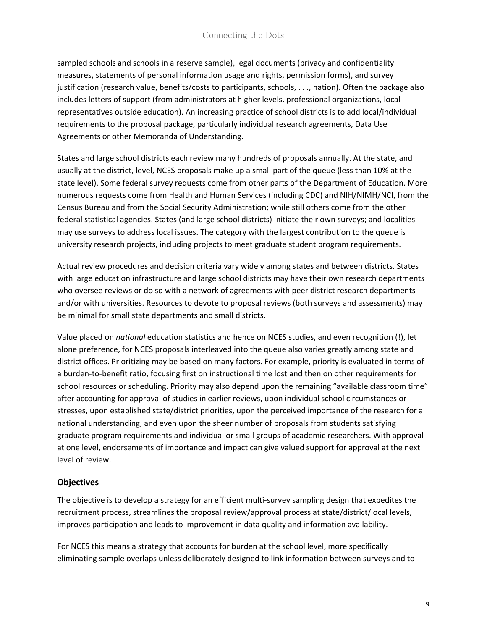sampled schools and schools in a reserve sample), legal documents (privacy and confidentiality measures, statements of personal information usage and rights, permission forms), and survey justification (research value, benefits/costs to participants, schools, . . ., nation). Often the package also includes letters of support (from administrators at higher levels, professional organizations, local representatives outside education). An increasing practice of school districts is to add local/individual requirements to the proposal package, particularly individual research agreements, Data Use Agreements or other Memoranda of Understanding.

States and large school districts each review many hundreds of proposals annually. At the state, and usually at the district, level, NCES proposals make up a small part of the queue (less than 10% at the state level). Some federal survey requests come from other parts of the Department of Education. More numerous requests come from Health and Human Services (including CDC) and NIH/NIMH/NCI, from the Census Bureau and from the Social Security Administration; while still others come from the other federal statistical agencies. States (and large school districts) initiate their own surveys; and localities may use surveys to address local issues. The category with the largest contribution to the queue is university research projects, including projects to meet graduate student program requirements.

Actual review procedures and decision criteria vary widely among states and between districts. States with large education infrastructure and large school districts may have their own research departments who oversee reviews or do so with a network of agreements with peer district research departments and/or with universities. Resources to devote to proposal reviews (both surveys and assessments) may be minimal for small state departments and small districts.

Value placed on *national* education statistics and hence on NCES studies, and even recognition (!), let alone preference, for NCES proposals interleaved into the queue also varies greatly among state and district offices. Prioritizing may be based on many factors. For example, priority is evaluated in terms of a burden-to-benefit ratio, focusing first on instructional time lost and then on other requirements for school resources or scheduling. Priority may also depend upon the remaining "available classroom time" after accounting for approval of studies in earlier reviews, upon individual school circumstances or stresses, upon established state/district priorities, upon the perceived importance of the research for a national understanding, and even upon the sheer number of proposals from students satisfying graduate program requirements and individual or small groups of academic researchers. With approval at one level, endorsements of importance and impact can give valued support for approval at the next level of review.

#### <span id="page-8-0"></span>**Objectives**

The objective is to develop a strategy for an efficient multi-survey sampling design that expedites the recruitment process, streamlines the proposal review/approval process at state/district/local levels, improves participation and leads to improvement in data quality and information availability.

For NCES this means a strategy that accounts for burden at the school level, more specifically eliminating sample overlaps unless deliberately designed to link information between surveys and to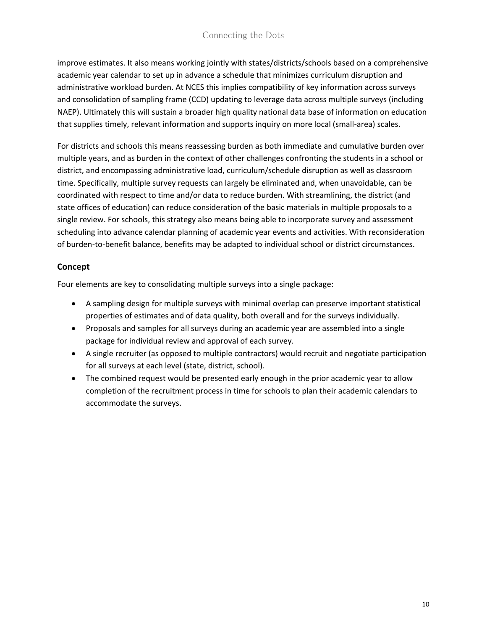improve estimates. It also means working jointly with states/districts/schools based on a comprehensive academic year calendar to set up in advance a schedule that minimizes curriculum disruption and administrative workload burden. At NCES this implies compatibility of key information across surveys and consolidation of sampling frame (CCD) updating to leverage data across multiple surveys (including NAEP). Ultimately this will sustain a broader high quality national data base of information on education that supplies timely, relevant information and supports inquiry on more local (small-area) scales.

For districts and schools this means reassessing burden as both immediate and cumulative burden over multiple years, and as burden in the context of other challenges confronting the students in a school or district, and encompassing administrative load, curriculum/schedule disruption as well as classroom time. Specifically, multiple survey requests can largely be eliminated and, when unavoidable, can be coordinated with respect to time and/or data to reduce burden. With streamlining, the district (and state offices of education) can reduce consideration of the basic materials in multiple proposals to a single review. For schools, this strategy also means being able to incorporate survey and assessment scheduling into advance calendar planning of academic year events and activities. With reconsideration of burden-to-benefit balance, benefits may be adapted to individual school or district circumstances.

# <span id="page-9-0"></span>**Concept**

Four elements are key to consolidating multiple surveys into a single package:

- A sampling design for multiple surveys with minimal overlap can preserve important statistical properties of estimates and of data quality, both overall and for the surveys individually.
- Proposals and samples for all surveys during an academic year are assembled into a single package for individual review and approval of each survey.
- A single recruiter (as opposed to multiple contractors) would recruit and negotiate participation for all surveys at each level (state, district, school).
- The combined request would be presented early enough in the prior academic year to allow completion of the recruitment process in time for schools to plan their academic calendars to accommodate the surveys.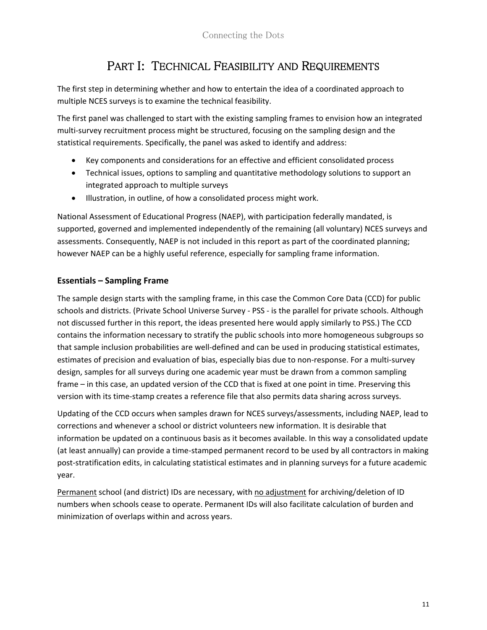# PART I: TECHNICAL FEASIBILITY AND REQUIREMENTS

<span id="page-10-0"></span>The first step in determining whether and how to entertain the idea of a coordinated approach to multiple NCES surveys is to examine the technical feasibility.

The first panel was challenged to start with the existing sampling frames to envision how an integrated multi-survey recruitment process might be structured, focusing on the sampling design and the statistical requirements. Specifically, the panel was asked to identify and address:

- Key components and considerations for an effective and efficient consolidated process
- Technical issues, options to sampling and quantitative methodology solutions to support an integrated approach to multiple surveys
- Illustration, in outline, of how a consolidated process might work.

National Assessment of Educational Progress (NAEP), with participation federally mandated, is supported, governed and implemented independently of the remaining (all voluntary) NCES surveys and assessments. Consequently, NAEP is not included in this report as part of the coordinated planning; however NAEP can be a highly useful reference, especially for sampling frame information.

# <span id="page-10-1"></span>**Essentials – Sampling Frame**

The sample design starts with the sampling frame, in this case the Common Core Data (CCD) for public schools and districts. (Private School Universe Survey - PSS - is the parallel for private schools. Although not discussed further in this report, the ideas presented here would apply similarly to PSS.) The CCD contains the information necessary to stratify the public schools into more homogeneous subgroups so that sample inclusion probabilities are well-defined and can be used in producing statistical estimates, estimates of precision and evaluation of bias, especially bias due to non-response. For a multi-survey design, samples for all surveys during one academic year must be drawn from a common sampling frame – in this case, an updated version of the CCD that is fixed at one point in time. Preserving this version with its time-stamp creates a reference file that also permits data sharing across surveys.

Updating of the CCD occurs when samples drawn for NCES surveys/assessments, including NAEP, lead to corrections and whenever a school or district volunteers new information. It is desirable that information be updated on a continuous basis as it becomes available. In this way a consolidated update (at least annually) can provide a time-stamped permanent record to be used by all contractors in making post-stratification edits, in calculating statistical estimates and in planning surveys for a future academic year.

Permanent school (and district) IDs are necessary, with no adjustment for archiving/deletion of ID numbers when schools cease to operate. Permanent IDs will also facilitate calculation of burden and minimization of overlaps within and across years.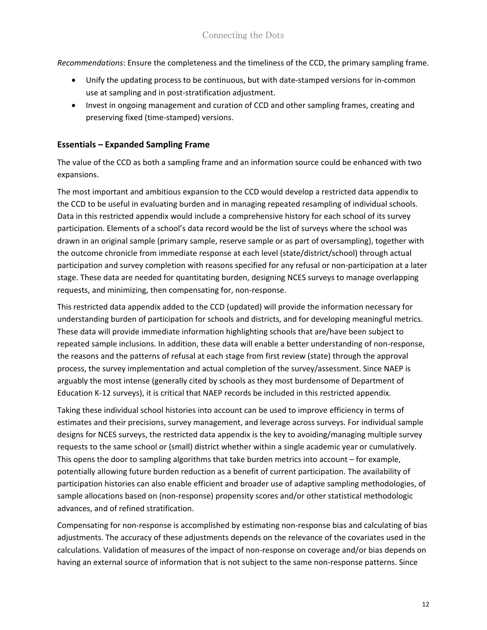*Recommendations*: Ensure the completeness and the timeliness of the CCD, the primary sampling frame.

- Unify the updating process to be continuous, but with date-stamped versions for in-common use at sampling and in post-stratification adjustment.
- Invest in ongoing management and curation of CCD and other sampling frames, creating and preserving fixed (time-stamped) versions.

#### <span id="page-11-0"></span>**Essentials – Expanded Sampling Frame**

The value of the CCD as both a sampling frame and an information source could be enhanced with two expansions.

The most important and ambitious expansion to the CCD would develop a restricted data appendix to the CCD to be useful in evaluating burden and in managing repeated resampling of individual schools. Data in this restricted appendix would include a comprehensive history for each school of its survey participation. Elements of a school's data record would be the list of surveys where the school was drawn in an original sample (primary sample, reserve sample or as part of oversampling), together with the outcome chronicle from immediate response at each level (state/district/school) through actual participation and survey completion with reasons specified for any refusal or non-participation at a later stage. These data are needed for quantitating burden, designing NCES surveys to manage overlapping requests, and minimizing, then compensating for, non-response.

This restricted data appendix added to the CCD (updated) will provide the information necessary for understanding burden of participation for schools and districts, and for developing meaningful metrics. These data will provide immediate information highlighting schools that are/have been subject to repeated sample inclusions. In addition, these data will enable a better understanding of non-response, the reasons and the patterns of refusal at each stage from first review (state) through the approval process, the survey implementation and actual completion of the survey/assessment. Since NAEP is arguably the most intense (generally cited by schools as they most burdensome of Department of Education K-12 surveys), it is critical that NAEP records be included in this restricted appendix.

Taking these individual school histories into account can be used to improve efficiency in terms of estimates and their precisions, survey management, and leverage across surveys. For individual sample designs for NCES surveys, the restricted data appendix is the key to avoiding/managing multiple survey requests to the same school or (small) district whether within a single academic year or cumulatively. This opens the door to sampling algorithms that take burden metrics into account – for example, potentially allowing future burden reduction as a benefit of current participation. The availability of participation histories can also enable efficient and broader use of adaptive sampling methodologies, of sample allocations based on (non-response) propensity scores and/or other statistical methodologic advances, and of refined stratification.

Compensating for non-response is accomplished by estimating non-response bias and calculating of bias adjustments. The accuracy of these adjustments depends on the relevance of the covariates used in the calculations. Validation of measures of the impact of non-response on coverage and/or bias depends on having an external source of information that is not subject to the same non-response patterns. Since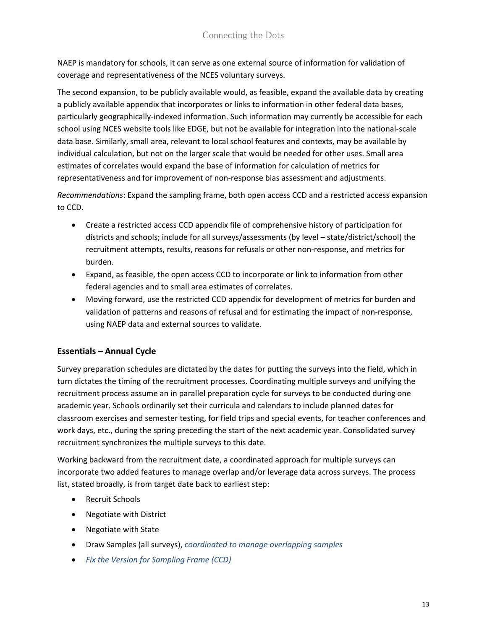NAEP is mandatory for schools, it can serve as one external source of information for validation of coverage and representativeness of the NCES voluntary surveys.

The second expansion, to be publicly available would, as feasible, expand the available data by creating a publicly available appendix that incorporates or links to information in other federal data bases, particularly geographically-indexed information. Such information may currently be accessible for each school using NCES website tools like EDGE, but not be available for integration into the national-scale data base. Similarly, small area, relevant to local school features and contexts, may be available by individual calculation, but not on the larger scale that would be needed for other uses. Small area estimates of correlates would expand the base of information for calculation of metrics for representativeness and for improvement of non-response bias assessment and adjustments.

*Recommendations*: Expand the sampling frame, both open access CCD and a restricted access expansion to CCD.

- Create a restricted access CCD appendix file of comprehensive history of participation for districts and schools; include for all surveys/assessments (by level – state/district/school) the recruitment attempts, results, reasons for refusals or other non-response, and metrics for burden.
- Expand, as feasible, the open access CCD to incorporate or link to information from other federal agencies and to small area estimates of correlates.
- Moving forward, use the restricted CCD appendix for development of metrics for burden and validation of patterns and reasons of refusal and for estimating the impact of non-response, using NAEP data and external sources to validate.

# <span id="page-12-0"></span>**Essentials – Annual Cycle**

Survey preparation schedules are dictated by the dates for putting the surveys into the field, which in turn dictates the timing of the recruitment processes. Coordinating multiple surveys and unifying the recruitment process assume an in parallel preparation cycle for surveys to be conducted during one academic year. Schools ordinarily set their curricula and calendars to include planned dates for classroom exercises and semester testing, for field trips and special events, for teacher conferences and work days, etc., during the spring preceding the start of the next academic year. Consolidated survey recruitment synchronizes the multiple surveys to this date.

Working backward from the recruitment date, a coordinated approach for multiple surveys can incorporate two added features to manage overlap and/or leverage data across surveys. The process list, stated broadly, is from target date back to earliest step:

- Recruit Schools
- Negotiate with District
- Negotiate with State
- Draw Samples (all surveys), *coordinated to manage overlapping samples*
- *Fix the Version for Sampling Frame (CCD)*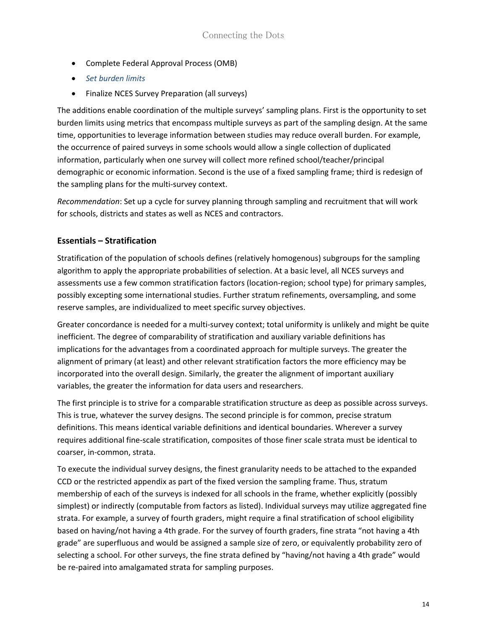- Complete Federal Approval Process (OMB)
- *Set burden limits*
- Finalize NCES Survey Preparation (all surveys)

The additions enable coordination of the multiple surveys' sampling plans. First is the opportunity to set burden limits using metrics that encompass multiple surveys as part of the sampling design. At the same time, opportunities to leverage information between studies may reduce overall burden. For example, the occurrence of paired surveys in some schools would allow a single collection of duplicated information, particularly when one survey will collect more refined school/teacher/principal demographic or economic information. Second is the use of a fixed sampling frame; third is redesign of the sampling plans for the multi-survey context.

*Recommendation*: Set up a cycle for survey planning through sampling and recruitment that will work for schools, districts and states as well as NCES and contractors.

#### <span id="page-13-0"></span>**Essentials – Stratification**

Stratification of the population of schools defines (relatively homogenous) subgroups for the sampling algorithm to apply the appropriate probabilities of selection. At a basic level, all NCES surveys and assessments use a few common stratification factors (location-region; school type) for primary samples, possibly excepting some international studies. Further stratum refinements, oversampling, and some reserve samples, are individualized to meet specific survey objectives.

Greater concordance is needed for a multi-survey context; total uniformity is unlikely and might be quite inefficient. The degree of comparability of stratification and auxiliary variable definitions has implications for the advantages from a coordinated approach for multiple surveys. The greater the alignment of primary (at least) and other relevant stratification factors the more efficiency may be incorporated into the overall design. Similarly, the greater the alignment of important auxiliary variables, the greater the information for data users and researchers.

The first principle is to strive for a comparable stratification structure as deep as possible across surveys. This is true, whatever the survey designs. The second principle is for common, precise stratum definitions. This means identical variable definitions and identical boundaries. Wherever a survey requires additional fine-scale stratification, composites of those finer scale strata must be identical to coarser, in-common, strata.

To execute the individual survey designs, the finest granularity needs to be attached to the expanded CCD or the restricted appendix as part of the fixed version the sampling frame. Thus, stratum membership of each of the surveys is indexed for all schools in the frame, whether explicitly (possibly simplest) or indirectly (computable from factors as listed). Individual surveys may utilize aggregated fine strata. For example, a survey of fourth graders, might require a final stratification of school eligibility based on having/not having a 4th grade. For the survey of fourth graders, fine strata "not having a 4th grade" are superfluous and would be assigned a sample size of zero, or equivalently probability zero of selecting a school. For other surveys, the fine strata defined by "having/not having a 4th grade" would be re-paired into amalgamated strata for sampling purposes.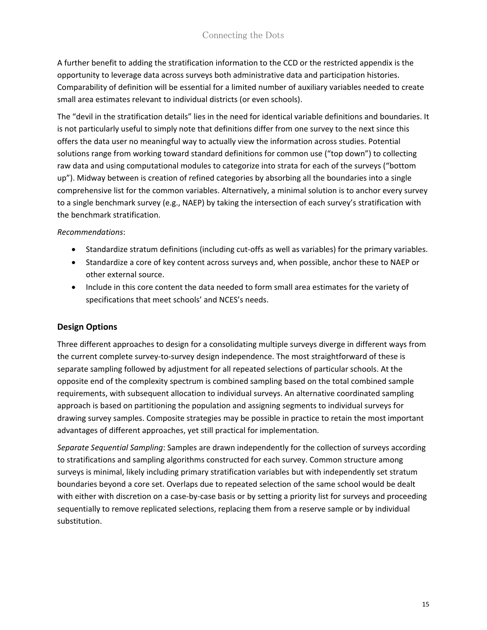A further benefit to adding the stratification information to the CCD or the restricted appendix is the opportunity to leverage data across surveys both administrative data and participation histories. Comparability of definition will be essential for a limited number of auxiliary variables needed to create small area estimates relevant to individual districts (or even schools).

The "devil in the stratification details" lies in the need for identical variable definitions and boundaries. It is not particularly useful to simply note that definitions differ from one survey to the next since this offers the data user no meaningful way to actually view the information across studies. Potential solutions range from working toward standard definitions for common use ("top down") to collecting raw data and using computational modules to categorize into strata for each of the surveys ("bottom up"). Midway between is creation of refined categories by absorbing all the boundaries into a single comprehensive list for the common variables. Alternatively, a minimal solution is to anchor every survey to a single benchmark survey (e.g., NAEP) by taking the intersection of each survey's stratification with the benchmark stratification.

#### *Recommendations*:

- Standardize stratum definitions (including cut-offs as well as variables) for the primary variables.
- Standardize a core of key content across surveys and, when possible, anchor these to NAEP or other external source.
- Include in this core content the data needed to form small area estimates for the variety of specifications that meet schools' and NCES's needs.

#### <span id="page-14-0"></span>**Design Options**

Three different approaches to design for a consolidating multiple surveys diverge in different ways from the current complete survey-to-survey design independence. The most straightforward of these is separate sampling followed by adjustment for all repeated selections of particular schools. At the opposite end of the complexity spectrum is combined sampling based on the total combined sample requirements, with subsequent allocation to individual surveys. An alternative coordinated sampling approach is based on partitioning the population and assigning segments to individual surveys for drawing survey samples. Composite strategies may be possible in practice to retain the most important advantages of different approaches, yet still practical for implementation.

*Separate Sequential Sampling*: Samples are drawn independently for the collection of surveys according to stratifications and sampling algorithms constructed for each survey. Common structure among surveys is minimal, likely including primary stratification variables but with independently set stratum boundaries beyond a core set. Overlaps due to repeated selection of the same school would be dealt with either with discretion on a case-by-case basis or by setting a priority list for surveys and proceeding sequentially to remove replicated selections, replacing them from a reserve sample or by individual substitution.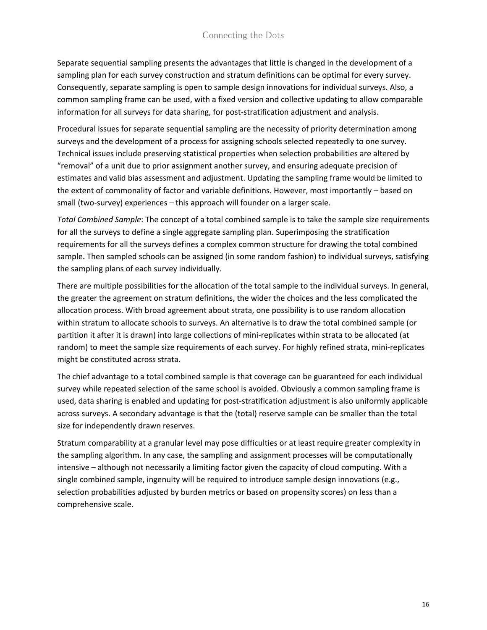Separate sequential sampling presents the advantages that little is changed in the development of a sampling plan for each survey construction and stratum definitions can be optimal for every survey. Consequently, separate sampling is open to sample design innovations for individual surveys. Also, a common sampling frame can be used, with a fixed version and collective updating to allow comparable information for all surveys for data sharing, for post-stratification adjustment and analysis.

Procedural issues for separate sequential sampling are the necessity of priority determination among surveys and the development of a process for assigning schools selected repeatedly to one survey. Technical issues include preserving statistical properties when selection probabilities are altered by "removal" of a unit due to prior assignment another survey, and ensuring adequate precision of estimates and valid bias assessment and adjustment. Updating the sampling frame would be limited to the extent of commonality of factor and variable definitions. However, most importantly – based on small (two-survey) experiences – this approach will founder on a larger scale.

*Total Combined Sample*: The concept of a total combined sample is to take the sample size requirements for all the surveys to define a single aggregate sampling plan. Superimposing the stratification requirements for all the surveys defines a complex common structure for drawing the total combined sample. Then sampled schools can be assigned (in some random fashion) to individual surveys, satisfying the sampling plans of each survey individually.

There are multiple possibilities for the allocation of the total sample to the individual surveys. In general, the greater the agreement on stratum definitions, the wider the choices and the less complicated the allocation process. With broad agreement about strata, one possibility is to use random allocation within stratum to allocate schools to surveys. An alternative is to draw the total combined sample (or partition it after it is drawn) into large collections of mini-replicates within strata to be allocated (at random) to meet the sample size requirements of each survey. For highly refined strata, mini-replicates might be constituted across strata.

The chief advantage to a total combined sample is that coverage can be guaranteed for each individual survey while repeated selection of the same school is avoided. Obviously a common sampling frame is used, data sharing is enabled and updating for post-stratification adjustment is also uniformly applicable across surveys. A secondary advantage is that the (total) reserve sample can be smaller than the total size for independently drawn reserves.

Stratum comparability at a granular level may pose difficulties or at least require greater complexity in the sampling algorithm. In any case, the sampling and assignment processes will be computationally intensive – although not necessarily a limiting factor given the capacity of cloud computing. With a single combined sample, ingenuity will be required to introduce sample design innovations (e.g., selection probabilities adjusted by burden metrics or based on propensity scores) on less than a comprehensive scale.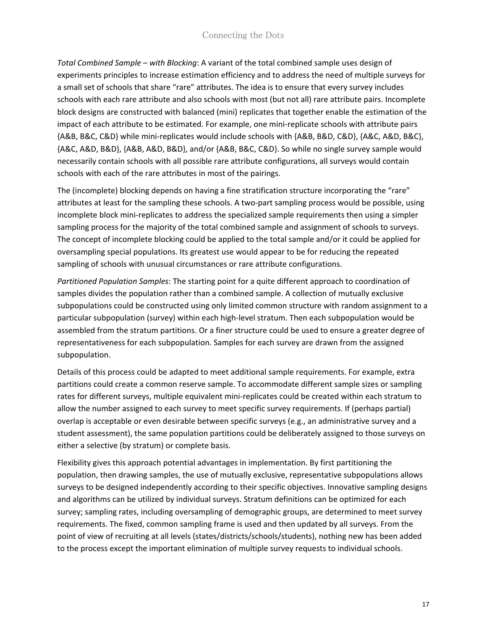*Total Combined Sample – with Blocking*: A variant of the total combined sample uses design of experiments principles to increase estimation efficiency and to address the need of multiple surveys for a small set of schools that share "rare" attributes. The idea is to ensure that every survey includes schools with each rare attribute and also schools with most (but not all) rare attribute pairs. Incomplete block designs are constructed with balanced (mini) replicates that together enable the estimation of the impact of each attribute to be estimated. For example, one mini-replicate schools with attribute pairs {A&B, B&C, C&D} while mini-replicates would include schools with {A&B, B&D, C&D}, {A&C, A&D, B&C}, {A&C, A&D, B&D}, {A&B, A&D, B&D}, and/or {A&B, B&C, C&D}. So while no single survey sample would necessarily contain schools with all possible rare attribute configurations, all surveys would contain schools with each of the rare attributes in most of the pairings.

The (incomplete) blocking depends on having a fine stratification structure incorporating the "rare" attributes at least for the sampling these schools. A two-part sampling process would be possible, using incomplete block mini-replicates to address the specialized sample requirements then using a simpler sampling process for the majority of the total combined sample and assignment of schools to surveys. The concept of incomplete blocking could be applied to the total sample and/or it could be applied for oversampling special populations. Its greatest use would appear to be for reducing the repeated sampling of schools with unusual circumstances or rare attribute configurations.

*Partitioned Population Samples*: The starting point for a quite different approach to coordination of samples divides the population rather than a combined sample. A collection of mutually exclusive subpopulations could be constructed using only limited common structure with random assignment to a particular subpopulation (survey) within each high-level stratum. Then each subpopulation would be assembled from the stratum partitions. Or a finer structure could be used to ensure a greater degree of representativeness for each subpopulation. Samples for each survey are drawn from the assigned subpopulation.

Details of this process could be adapted to meet additional sample requirements. For example, extra partitions could create a common reserve sample. To accommodate different sample sizes or sampling rates for different surveys, multiple equivalent mini-replicates could be created within each stratum to allow the number assigned to each survey to meet specific survey requirements. If (perhaps partial) overlap is acceptable or even desirable between specific surveys (e.g., an administrative survey and a student assessment), the same population partitions could be deliberately assigned to those surveys on either a selective (by stratum) or complete basis.

Flexibility gives this approach potential advantages in implementation. By first partitioning the population, then drawing samples, the use of mutually exclusive, representative subpopulations allows surveys to be designed independently according to their specific objectives. Innovative sampling designs and algorithms can be utilized by individual surveys. Stratum definitions can be optimized for each survey; sampling rates, including oversampling of demographic groups, are determined to meet survey requirements. The fixed, common sampling frame is used and then updated by all surveys. From the point of view of recruiting at all levels (states/districts/schools/students), nothing new has been added to the process except the important elimination of multiple survey requests to individual schools.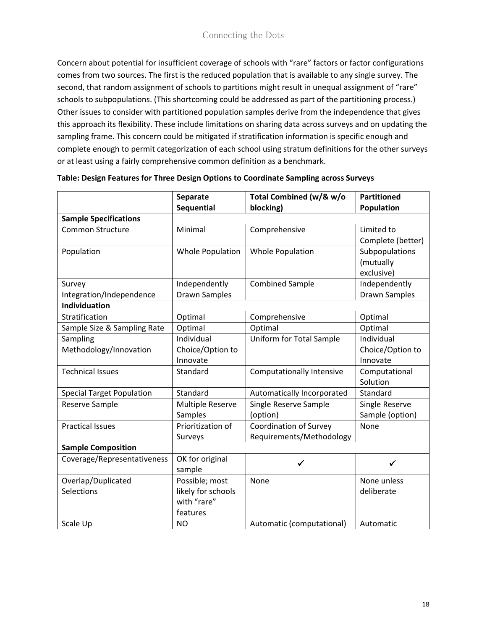Concern about potential for insufficient coverage of schools with "rare" factors or factor configurations comes from two sources. The first is the reduced population that is available to any single survey. The second, that random assignment of schools to partitions might result in unequal assignment of "rare" schools to subpopulations. (This shortcoming could be addressed as part of the partitioning process.) Other issues to consider with partitioned population samples derive from the independence that gives this approach its flexibility. These include limitations on sharing data across surveys and on updating the sampling frame. This concern could be mitigated if stratification information is specific enough and complete enough to permit categorization of each school using stratum definitions for the other surveys or at least using a fairly comprehensive common definition as a benchmark.

|                                  | <b>Separate</b>         | Total Combined (w/& w/o          | <b>Partitioned</b> |
|----------------------------------|-------------------------|----------------------------------|--------------------|
|                                  | Sequential              | blocking)                        | Population         |
| <b>Sample Specifications</b>     |                         |                                  |                    |
| <b>Common Structure</b>          | Minimal                 | Comprehensive                    | Limited to         |
|                                  |                         |                                  | Complete (better)  |
| Population                       | <b>Whole Population</b> | <b>Whole Population</b>          | Subpopulations     |
|                                  |                         |                                  | (mutually          |
|                                  |                         |                                  | exclusive)         |
| Survey                           | Independently           | <b>Combined Sample</b>           | Independently      |
| Integration/Independence         | <b>Drawn Samples</b>    |                                  | Drawn Samples      |
| Individuation                    |                         |                                  |                    |
| Stratification                   | Optimal                 | Comprehensive                    | Optimal            |
| Sample Size & Sampling Rate      | Optimal                 | Optimal                          | Optimal            |
| Sampling                         | Individual              | Uniform for Total Sample         | Individual         |
| Methodology/Innovation           | Choice/Option to        |                                  | Choice/Option to   |
|                                  | Innovate                |                                  | Innovate           |
| <b>Technical Issues</b>          | Standard                | <b>Computationally Intensive</b> | Computational      |
|                                  |                         |                                  | Solution           |
| <b>Special Target Population</b> | Standard                | Automatically Incorporated       | Standard           |
| Reserve Sample                   | Multiple Reserve        | Single Reserve Sample            | Single Reserve     |
|                                  | Samples                 | (option)                         | Sample (option)    |
| <b>Practical Issues</b>          | Prioritization of       | <b>Coordination of Survey</b>    | None               |
|                                  | Surveys                 | Requirements/Methodology         |                    |
| <b>Sample Composition</b>        |                         |                                  |                    |
| Coverage/Representativeness      | OK for original         | ✔                                | ✓                  |
|                                  | sample                  |                                  |                    |
| Overlap/Duplicated               | Possible; most          | None                             | None unless        |
| Selections                       | likely for schools      |                                  | deliberate         |
|                                  | with "rare"             |                                  |                    |
|                                  | features                |                                  |                    |
| Scale Up                         | <b>NO</b>               | Automatic (computational)        | Automatic          |

| Table: Design Features for Three Design Options to Coordinate Sampling across Surveys |  |  |  |
|---------------------------------------------------------------------------------------|--|--|--|
|                                                                                       |  |  |  |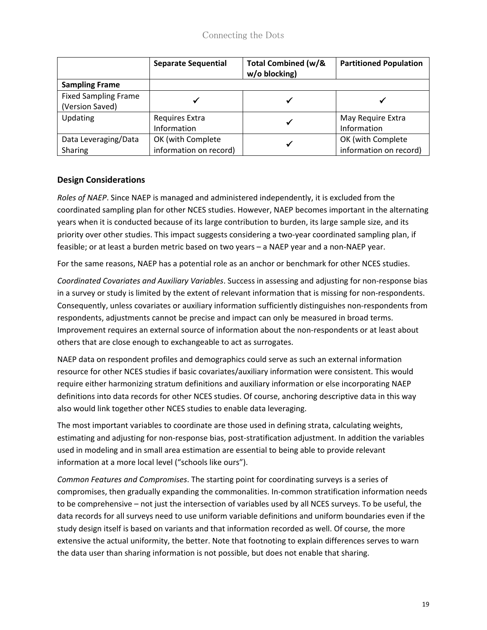|                                                | <b>Separate Sequential</b>                  | <b>Total Combined (w/&amp;</b><br>w/o blocking) | <b>Partitioned Population</b>               |
|------------------------------------------------|---------------------------------------------|-------------------------------------------------|---------------------------------------------|
| <b>Sampling Frame</b>                          |                                             |                                                 |                                             |
| <b>Fixed Sampling Frame</b><br>(Version Saved) |                                             |                                                 |                                             |
| Updating                                       | Requires Extra<br>Information               | ✔                                               | May Require Extra<br>Information            |
| Data Leveraging/Data<br>Sharing                | OK (with Complete<br>information on record) | √                                               | OK (with Complete<br>information on record) |

# <span id="page-18-0"></span>**Design Considerations**

*Roles of NAEP*. Since NAEP is managed and administered independently, it is excluded from the coordinated sampling plan for other NCES studies. However, NAEP becomes important in the alternating years when it is conducted because of its large contribution to burden, its large sample size, and its priority over other studies. This impact suggests considering a two-year coordinated sampling plan, if feasible; or at least a burden metric based on two years – a NAEP year and a non-NAEP year.

For the same reasons, NAEP has a potential role as an anchor or benchmark for other NCES studies.

*Coordinated Covariates and Auxiliary Variables*. Success in assessing and adjusting for non-response bias in a survey or study is limited by the extent of relevant information that is missing for non-respondents. Consequently, unless covariates or auxiliary information sufficiently distinguishes non-respondents from respondents, adjustments cannot be precise and impact can only be measured in broad terms. Improvement requires an external source of information about the non-respondents or at least about others that are close enough to exchangeable to act as surrogates.

NAEP data on respondent profiles and demographics could serve as such an external information resource for other NCES studies if basic covariates/auxiliary information were consistent. This would require either harmonizing stratum definitions and auxiliary information or else incorporating NAEP definitions into data records for other NCES studies. Of course, anchoring descriptive data in this way also would link together other NCES studies to enable data leveraging.

The most important variables to coordinate are those used in defining strata, calculating weights, estimating and adjusting for non-response bias, post-stratification adjustment. In addition the variables used in modeling and in small area estimation are essential to being able to provide relevant information at a more local level ("schools like ours").

*Common Features and Compromises*. The starting point for coordinating surveys is a series of compromises, then gradually expanding the commonalities. In-common stratification information needs to be comprehensive – not just the intersection of variables used by all NCES surveys. To be useful, the data records for all surveys need to use uniform variable definitions and uniform boundaries even if the study design itself is based on variants and that information recorded as well. Of course, the more extensive the actual uniformity, the better. Note that footnoting to explain differences serves to warn the data user than sharing information is not possible, but does not enable that sharing.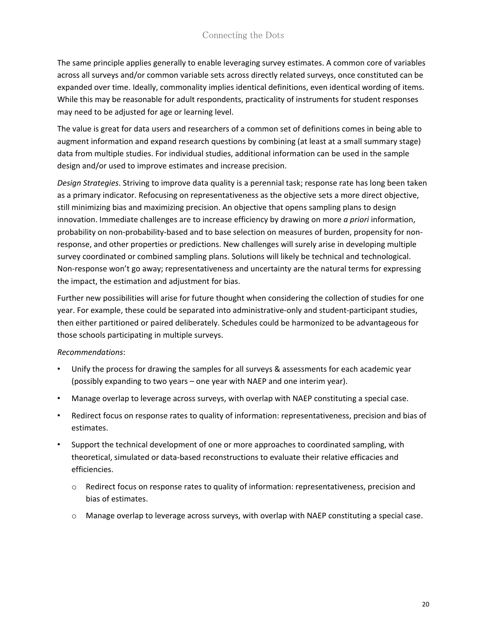The same principle applies generally to enable leveraging survey estimates. A common core of variables across all surveys and/or common variable sets across directly related surveys, once constituted can be expanded over time. Ideally, commonality implies identical definitions, even identical wording of items. While this may be reasonable for adult respondents, practicality of instruments for student responses may need to be adjusted for age or learning level.

The value is great for data users and researchers of a common set of definitions comes in being able to augment information and expand research questions by combining (at least at a small summary stage) data from multiple studies. For individual studies, additional information can be used in the sample design and/or used to improve estimates and increase precision.

*Design Strategies*. Striving to improve data quality is a perennial task; response rate has long been taken as a primary indicator. Refocusing on representativeness as the objective sets a more direct objective, still minimizing bias and maximizing precision. An objective that opens sampling plans to design innovation. Immediate challenges are to increase efficiency by drawing on more *a priori* information, probability on non-probability-based and to base selection on measures of burden, propensity for nonresponse, and other properties or predictions. New challenges will surely arise in developing multiple survey coordinated or combined sampling plans. Solutions will likely be technical and technological. Non-response won't go away; representativeness and uncertainty are the natural terms for expressing the impact, the estimation and adjustment for bias.

Further new possibilities will arise for future thought when considering the collection of studies for one year. For example, these could be separated into administrative-only and student-participant studies, then either partitioned or paired deliberately. Schedules could be harmonized to be advantageous for those schools participating in multiple surveys.

#### *Recommendations*:

- Unify the process for drawing the samples for all surveys & assessments for each academic year (possibly expanding to two years – one year with NAEP and one interim year).
- Manage overlap to leverage across surveys, with overlap with NAEP constituting a special case.
- Redirect focus on response rates to quality of information: representativeness, precision and bias of estimates.
- Support the technical development of one or more approaches to coordinated sampling, with theoretical, simulated or data-based reconstructions to evaluate their relative efficacies and efficiencies.
	- $\circ$  Redirect focus on response rates to quality of information: representativeness, precision and bias of estimates.
	- $\circ$  Manage overlap to leverage across surveys, with overlap with NAEP constituting a special case.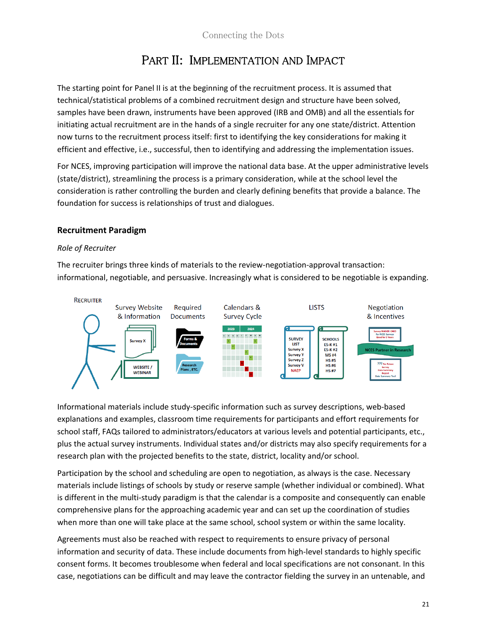# PART II: IMPLEMENTATION AND IMPACT

<span id="page-20-0"></span>The starting point for Panel II is at the beginning of the recruitment process. It is assumed that technical/statistical problems of a combined recruitment design and structure have been solved, samples have been drawn, instruments have been approved (IRB and OMB) and all the essentials for initiating actual recruitment are in the hands of a single recruiter for any one state/district. Attention now turns to the recruitment process itself: first to identifying the key considerations for making it efficient and effective, i.e., successful, then to identifying and addressing the implementation issues.

For NCES, improving participation will improve the national data base. At the upper administrative levels (state/district), streamlining the process is a primary consideration, while at the school level the consideration is rather controlling the burden and clearly defining benefits that provide a balance. The foundation for success is relationships of trust and dialogues.

#### <span id="page-20-1"></span>**Recruitment Paradigm**

#### *Role of Recruiter*

The recruiter brings three kinds of materials to the review-negotiation-approval transaction: informational, negotiable, and persuasive. Increasingly what is considered to be negotiable is expanding.



Informational materials include study-specific information such as survey descriptions, web-based explanations and examples, classroom time requirements for participants and effort requirements for school staff, FAQs tailored to administrators/educators at various levels and potential participants, etc., plus the actual survey instruments. Individual states and/or districts may also specify requirements for a research plan with the projected benefits to the state, district, locality and/or school.

Participation by the school and scheduling are open to negotiation, as always is the case. Necessary materials include listings of schools by study or reserve sample (whether individual or combined). What is different in the multi-study paradigm is that the calendar is a composite and consequently can enable comprehensive plans for the approaching academic year and can set up the coordination of studies when more than one will take place at the same school, school system or within the same locality.

Agreements must also be reached with respect to requirements to ensure privacy of personal information and security of data. These include documents from high-level standards to highly specific consent forms. It becomes troublesome when federal and local specifications are not consonant. In this case, negotiations can be difficult and may leave the contractor fielding the survey in an untenable, and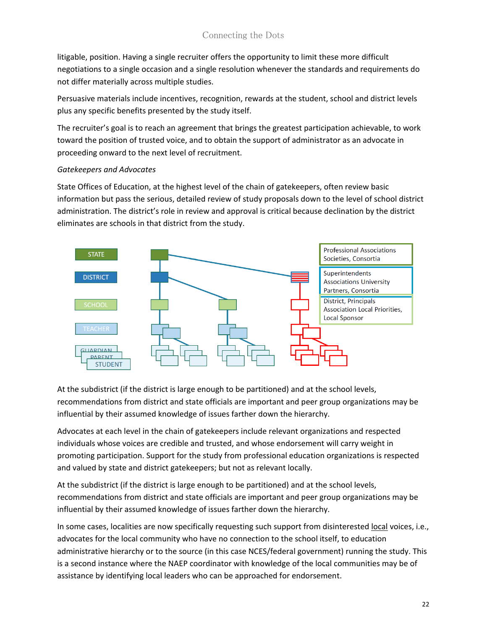litigable, position. Having a single recruiter offers the opportunity to limit these more difficult negotiations to a single occasion and a single resolution whenever the standards and requirements do not differ materially across multiple studies.

Persuasive materials include incentives, recognition, rewards at the student, school and district levels plus any specific benefits presented by the study itself.

The recruiter's goal is to reach an agreement that brings the greatest participation achievable, to work toward the position of trusted voice, and to obtain the support of administrator as an advocate in proceeding onward to the next level of recruitment.

#### *Gatekeepers and Advocates*

State Offices of Education, at the highest level of the chain of gatekeepers, often review basic information but pass the serious, detailed review of study proposals down to the level of school district administration. The district's role in review and approval is critical because declination by the district eliminates are schools in that district from the study.



At the subdistrict (if the district is large enough to be partitioned) and at the school levels, recommendations from district and state officials are important and peer group organizations may be influential by their assumed knowledge of issues farther down the hierarchy.

Advocates at each level in the chain of gatekeepers include relevant organizations and respected individuals whose voices are credible and trusted, and whose endorsement will carry weight in promoting participation. Support for the study from professional education organizations is respected and valued by state and district gatekeepers; but not as relevant locally.

At the subdistrict (if the district is large enough to be partitioned) and at the school levels, recommendations from district and state officials are important and peer group organizations may be influential by their assumed knowledge of issues farther down the hierarchy.

In some cases, localities are now specifically requesting such support from disinterested local voices, i.e., advocates for the local community who have no connection to the school itself, to education administrative hierarchy or to the source (in this case NCES/federal government) running the study. This is a second instance where the NAEP coordinator with knowledge of the local communities may be of assistance by identifying local leaders who can be approached for endorsement.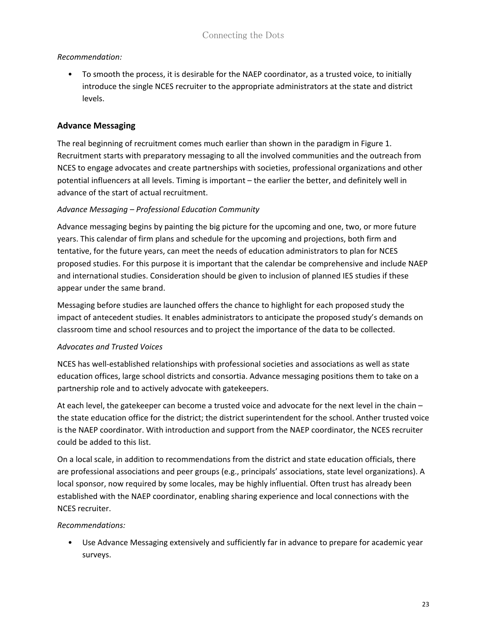# *Recommendation:*

• To smooth the process, it is desirable for the NAEP coordinator, as a trusted voice, to initially introduce the single NCES recruiter to the appropriate administrators at the state and district levels.

# <span id="page-22-0"></span>**Advance Messaging**

The real beginning of recruitment comes much earlier than shown in the paradigm in Figure 1. Recruitment starts with preparatory messaging to all the involved communities and the outreach from NCES to engage advocates and create partnerships with societies, professional organizations and other potential influencers at all levels. Timing is important – the earlier the better, and definitely well in advance of the start of actual recruitment.

#### *Advance Messaging – Professional Education Community*

Advance messaging begins by painting the big picture for the upcoming and one, two, or more future years. This calendar of firm plans and schedule for the upcoming and projections, both firm and tentative, for the future years, can meet the needs of education administrators to plan for NCES proposed studies. For this purpose it is important that the calendar be comprehensive and include NAEP and international studies. Consideration should be given to inclusion of planned IES studies if these appear under the same brand.

Messaging before studies are launched offers the chance to highlight for each proposed study the impact of antecedent studies. It enables administrators to anticipate the proposed study's demands on classroom time and school resources and to project the importance of the data to be collected.

# *Advocates and Trusted Voices*

NCES has well-established relationships with professional societies and associations as well as state education offices, large school districts and consortia. Advance messaging positions them to take on a partnership role and to actively advocate with gatekeepers.

At each level, the gatekeeper can become a trusted voice and advocate for the next level in the chain – the state education office for the district; the district superintendent for the school. Anther trusted voice is the NAEP coordinator. With introduction and support from the NAEP coordinator, the NCES recruiter could be added to this list.

On a local scale, in addition to recommendations from the district and state education officials, there are professional associations and peer groups (e.g., principals' associations, state level organizations). A local sponsor, now required by some locales, may be highly influential. Often trust has already been established with the NAEP coordinator, enabling sharing experience and local connections with the NCES recruiter.

#### *Recommendations:*

• Use Advance Messaging extensively and sufficiently far in advance to prepare for academic year surveys.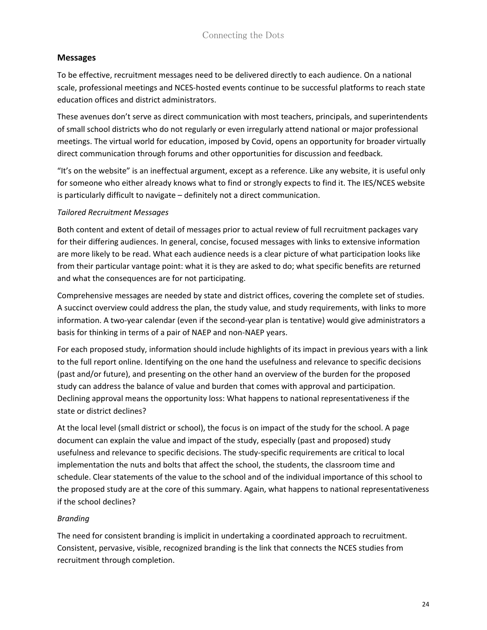#### <span id="page-23-0"></span>**Messages**

To be effective, recruitment messages need to be delivered directly to each audience. On a national scale, professional meetings and NCES-hosted events continue to be successful platforms to reach state education offices and district administrators.

These avenues don't serve as direct communication with most teachers, principals, and superintendents of small school districts who do not regularly or even irregularly attend national or major professional meetings. The virtual world for education, imposed by Covid, opens an opportunity for broader virtually direct communication through forums and other opportunities for discussion and feedback.

"It's on the website" is an ineffectual argument, except as a reference. Like any website, it is useful only for someone who either already knows what to find or strongly expects to find it. The IES/NCES website is particularly difficult to navigate – definitely not a direct communication.

#### *Tailored Recruitment Messages*

Both content and extent of detail of messages prior to actual review of full recruitment packages vary for their differing audiences. In general, concise, focused messages with links to extensive information are more likely to be read. What each audience needs is a clear picture of what participation looks like from their particular vantage point: what it is they are asked to do; what specific benefits are returned and what the consequences are for not participating.

Comprehensive messages are needed by state and district offices, covering the complete set of studies. A succinct overview could address the plan, the study value, and study requirements, with links to more information. A two-year calendar (even if the second-year plan is tentative) would give administrators a basis for thinking in terms of a pair of NAEP and non-NAEP years.

For each proposed study, information should include highlights of its impact in previous years with a link to the full report online. Identifying on the one hand the usefulness and relevance to specific decisions (past and/or future), and presenting on the other hand an overview of the burden for the proposed study can address the balance of value and burden that comes with approval and participation. Declining approval means the opportunity loss: What happens to national representativeness if the state or district declines?

At the local level (small district or school), the focus is on impact of the study for the school. A page document can explain the value and impact of the study, especially (past and proposed) study usefulness and relevance to specific decisions. The study-specific requirements are critical to local implementation the nuts and bolts that affect the school, the students, the classroom time and schedule. Clear statements of the value to the school and of the individual importance of this school to the proposed study are at the core of this summary. Again, what happens to national representativeness if the school declines?

# *Branding*

The need for consistent branding is implicit in undertaking a coordinated approach to recruitment. Consistent, pervasive, visible, recognized branding is the link that connects the NCES studies from recruitment through completion.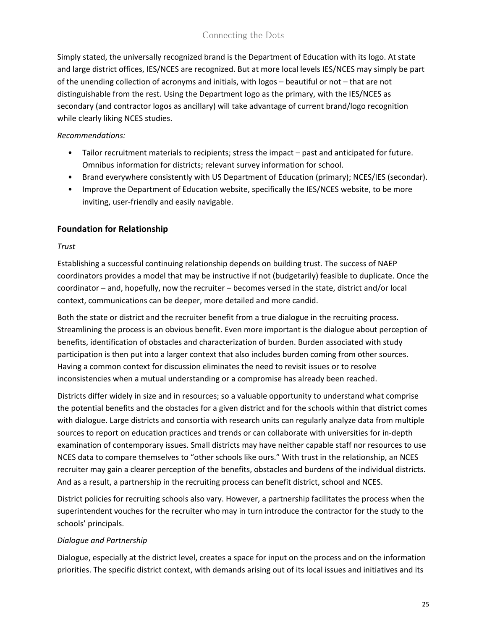Simply stated, the universally recognized brand is the Department of Education with its logo. At state and large district offices, IES/NCES are recognized. But at more local levels IES/NCES may simply be part of the unending collection of acronyms and initials, with logos – beautiful or not – that are not distinguishable from the rest. Using the Department logo as the primary, with the IES/NCES as secondary (and contractor logos as ancillary) will take advantage of current brand/logo recognition while clearly liking NCES studies.

#### *Recommendations:*

- Tailor recruitment materials to recipients; stress the impact past and anticipated for future. Omnibus information for districts; relevant survey information for school.
- Brand everywhere consistently with US Department of Education (primary); NCES/IES (secondar).
- Improve the Department of Education website, specifically the IES/NCES website, to be more inviting, user-friendly and easily navigable.

# <span id="page-24-0"></span>**Foundation for Relationship**

#### *Trust*

Establishing a successful continuing relationship depends on building trust. The success of NAEP coordinators provides a model that may be instructive if not (budgetarily) feasible to duplicate. Once the coordinator – and, hopefully, now the recruiter – becomes versed in the state, district and/or local context, communications can be deeper, more detailed and more candid.

Both the state or district and the recruiter benefit from a true dialogue in the recruiting process. Streamlining the process is an obvious benefit. Even more important is the dialogue about perception of benefits, identification of obstacles and characterization of burden. Burden associated with study participation is then put into a larger context that also includes burden coming from other sources. Having a common context for discussion eliminates the need to revisit issues or to resolve inconsistencies when a mutual understanding or a compromise has already been reached.

Districts differ widely in size and in resources; so a valuable opportunity to understand what comprise the potential benefits and the obstacles for a given district and for the schools within that district comes with dialogue. Large districts and consortia with research units can regularly analyze data from multiple sources to report on education practices and trends or can collaborate with universities for in-depth examination of contemporary issues. Small districts may have neither capable staff nor resources to use NCES data to compare themselves to "other schools like ours." With trust in the relationship, an NCES recruiter may gain a clearer perception of the benefits, obstacles and burdens of the individual districts. And as a result, a partnership in the recruiting process can benefit district, school and NCES.

District policies for recruiting schools also vary. However, a partnership facilitates the process when the superintendent vouches for the recruiter who may in turn introduce the contractor for the study to the schools' principals.

# *Dialogue and Partnership*

Dialogue, especially at the district level, creates a space for input on the process and on the information priorities. The specific district context, with demands arising out of its local issues and initiatives and its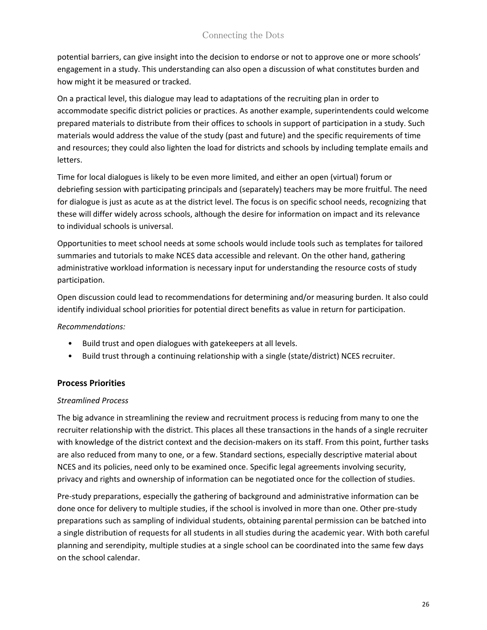potential barriers, can give insight into the decision to endorse or not to approve one or more schools' engagement in a study. This understanding can also open a discussion of what constitutes burden and how might it be measured or tracked.

On a practical level, this dialogue may lead to adaptations of the recruiting plan in order to accommodate specific district policies or practices. As another example, superintendents could welcome prepared materials to distribute from their offices to schools in support of participation in a study. Such materials would address the value of the study (past and future) and the specific requirements of time and resources; they could also lighten the load for districts and schools by including template emails and letters.

Time for local dialogues is likely to be even more limited, and either an open (virtual) forum or debriefing session with participating principals and (separately) teachers may be more fruitful. The need for dialogue is just as acute as at the district level. The focus is on specific school needs, recognizing that these will differ widely across schools, although the desire for information on impact and its relevance to individual schools is universal.

Opportunities to meet school needs at some schools would include tools such as templates for tailored summaries and tutorials to make NCES data accessible and relevant. On the other hand, gathering administrative workload information is necessary input for understanding the resource costs of study participation.

Open discussion could lead to recommendations for determining and/or measuring burden. It also could identify individual school priorities for potential direct benefits as value in return for participation.

*Recommendations:*

- Build trust and open dialogues with gatekeepers at all levels.
- Build trust through a continuing relationship with a single (state/district) NCES recruiter.

#### <span id="page-25-0"></span>**Process Priorities**

#### *Streamlined Process*

The big advance in streamlining the review and recruitment process is reducing from many to one the recruiter relationship with the district. This places all these transactions in the hands of a single recruiter with knowledge of the district context and the decision-makers on its staff. From this point, further tasks are also reduced from many to one, or a few. Standard sections, especially descriptive material about NCES and its policies, need only to be examined once. Specific legal agreements involving security, privacy and rights and ownership of information can be negotiated once for the collection of studies.

Pre-study preparations, especially the gathering of background and administrative information can be done once for delivery to multiple studies, if the school is involved in more than one. Other pre-study preparations such as sampling of individual students, obtaining parental permission can be batched into a single distribution of requests for all students in all studies during the academic year. With both careful planning and serendipity, multiple studies at a single school can be coordinated into the same few days on the school calendar.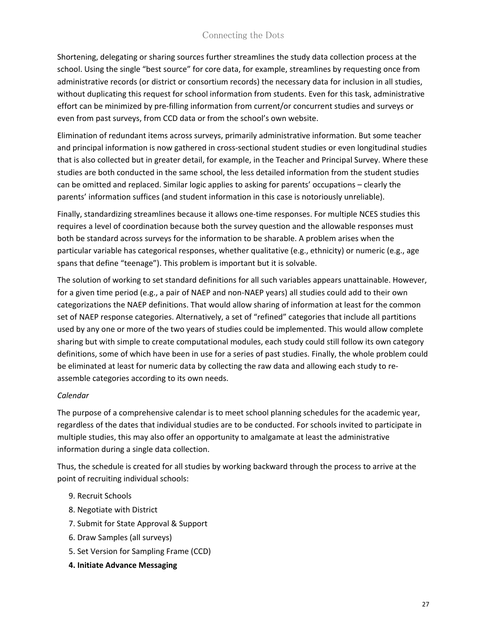Shortening, delegating or sharing sources further streamlines the study data collection process at the school. Using the single "best source" for core data, for example, streamlines by requesting once from administrative records (or district or consortium records) the necessary data for inclusion in all studies, without duplicating this request for school information from students. Even for this task, administrative effort can be minimized by pre-filling information from current/or concurrent studies and surveys or even from past surveys, from CCD data or from the school's own website.

Elimination of redundant items across surveys, primarily administrative information. But some teacher and principal information is now gathered in cross-sectional student studies or even longitudinal studies that is also collected but in greater detail, for example, in the Teacher and Principal Survey. Where these studies are both conducted in the same school, the less detailed information from the student studies can be omitted and replaced. Similar logic applies to asking for parents' occupations – clearly the parents' information suffices (and student information in this case is notoriously unreliable).

Finally, standardizing streamlines because it allows one-time responses. For multiple NCES studies this requires a level of coordination because both the survey question and the allowable responses must both be standard across surveys for the information to be sharable. A problem arises when the particular variable has categorical responses, whether qualitative (e.g., ethnicity) or numeric (e.g., age spans that define "teenage"). This problem is important but it is solvable.

The solution of working to set standard definitions for all such variables appears unattainable. However, for a given time period (e.g., a pair of NAEP and non-NAEP years) all studies could add to their own categorizations the NAEP definitions. That would allow sharing of information at least for the common set of NAEP response categories. Alternatively, a set of "refined" categories that include all partitions used by any one or more of the two years of studies could be implemented. This would allow complete sharing but with simple to create computational modules, each study could still follow its own category definitions, some of which have been in use for a series of past studies. Finally, the whole problem could be eliminated at least for numeric data by collecting the raw data and allowing each study to reassemble categories according to its own needs.

#### *Calendar*

The purpose of a comprehensive calendar is to meet school planning schedules for the academic year, regardless of the dates that individual studies are to be conducted. For schools invited to participate in multiple studies, this may also offer an opportunity to amalgamate at least the administrative information during a single data collection.

Thus, the schedule is created for all studies by working backward through the process to arrive at the point of recruiting individual schools:

- 9. Recruit Schools
- 8. Negotiate with District
- 7. Submit for State Approval & Support
- 6. Draw Samples (all surveys)
- 5. Set Version for Sampling Frame (CCD)
- **4. Initiate Advance Messaging**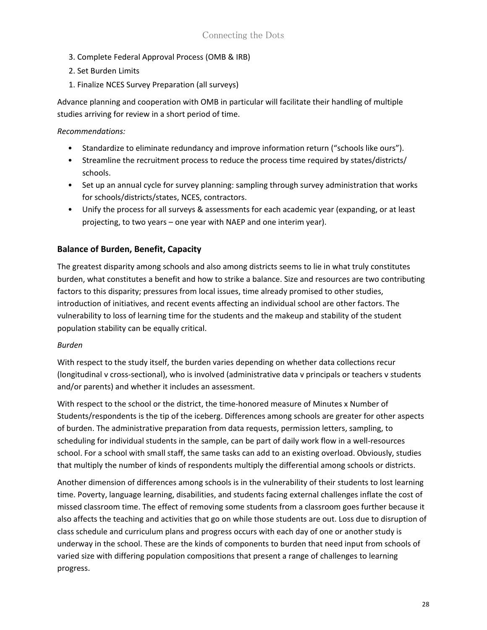- 3. Complete Federal Approval Process (OMB & IRB)
- 2. Set Burden Limits
- 1. Finalize NCES Survey Preparation (all surveys)

Advance planning and cooperation with OMB in particular will facilitate their handling of multiple studies arriving for review in a short period of time.

#### *Recommendations:*

- Standardize to eliminate redundancy and improve information return ("schools like ours").
- Streamline the recruitment process to reduce the process time required by states/districts/ schools.
- Set up an annual cycle for survey planning: sampling through survey administration that works for schools/districts/states, NCES, contractors.
- Unify the process for all surveys & assessments for each academic year (expanding, or at least projecting, to two years – one year with NAEP and one interim year).

#### <span id="page-27-0"></span>**Balance of Burden, Benefit, Capacity**

The greatest disparity among schools and also among districts seems to lie in what truly constitutes burden, what constitutes a benefit and how to strike a balance. Size and resources are two contributing factors to this disparity; pressures from local issues, time already promised to other studies, introduction of initiatives, and recent events affecting an individual school are other factors. The vulnerability to loss of learning time for the students and the makeup and stability of the student population stability can be equally critical.

#### *Burden*

With respect to the study itself, the burden varies depending on whether data collections recur (longitudinal v cross-sectional), who is involved (administrative data v principals or teachers v students and/or parents) and whether it includes an assessment.

With respect to the school or the district, the time-honored measure of Minutes x Number of Students/respondents is the tip of the iceberg. Differences among schools are greater for other aspects of burden. The administrative preparation from data requests, permission letters, sampling, to scheduling for individual students in the sample, can be part of daily work flow in a well-resources school. For a school with small staff, the same tasks can add to an existing overload. Obviously, studies that multiply the number of kinds of respondents multiply the differential among schools or districts.

Another dimension of differences among schools is in the vulnerability of their students to lost learning time. Poverty, language learning, disabilities, and students facing external challenges inflate the cost of missed classroom time. The effect of removing some students from a classroom goes further because it also affects the teaching and activities that go on while those students are out. Loss due to disruption of class schedule and curriculum plans and progress occurs with each day of one or another study is underway in the school. These are the kinds of components to burden that need input from schools of varied size with differing population compositions that present a range of challenges to learning progress.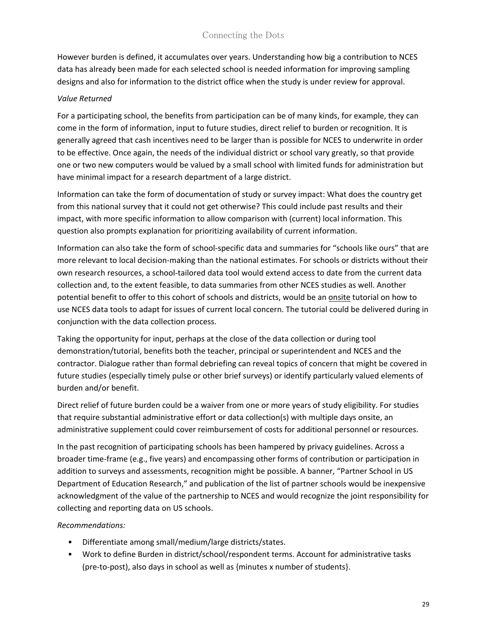However burden is defined, it accumulates over years. Understanding how big a contribution to NCES data has already been made for each selected school is needed information for improving sampling designs and also for information to the district office when the study is under review for approval.

#### *Value Returned*

For a participating school, the benefits from participation can be of many kinds, for example, they can come in the form of information, input to future studies, direct relief to burden or recognition. It is generally agreed that cash incentives need to be larger than is possible for NCES to underwrite in order to be effective. Once again, the needs of the individual district or school vary greatly, so that provide one or two new computers would be valued by a small school with limited funds for administration but have minimal impact for a research department of a large district.

Information can take the form of documentation of study or survey impact: What does the country get from this national survey that it could not get otherwise? This could include past results and their impact, with more specific information to allow comparison with (current) local information. This question also prompts explanation for prioritizing availability of current information.

Information can also take the form of school-specific data and summaries for "schools like ours" that are more relevant to local decision-making than the national estimates. For schools or districts without their own research resources, a school-tailored data tool would extend access to date from the current data collection and, to the extent feasible, to data summaries from other NCES studies as well. Another potential benefit to offer to this cohort of schools and districts, would be an **onsite** tutorial on how to use NCES data tools to adapt for issues of current local concern. The tutorial could be delivered during in conjunction with the data collection process.

Taking the opportunity for input, perhaps at the close of the data collection or during tool demonstration/tutorial, benefits both the teacher, principal or superintendent and NCES and the contractor. Dialogue rather than formal debriefing can reveal topics of concern that might be covered in future studies (especially timely pulse or other brief surveys) or identify particularly valued elements of burden and/or benefit.

Direct relief of future burden could be a waiver from one or more years of study eligibility. For studies that require substantial administrative effort or data collection(s) with multiple days onsite, an administrative supplement could cover reimbursement of costs for additional personnel or resources.

In the past recognition of participating schools has been hampered by privacy guidelines. Across a broader time-frame (e.g., five years) and encompassing other forms of contribution or participation in addition to surveys and assessments, recognition might be possible. A banner, "Partner School in US Department of Education Research," and publication of the list of partner schools would be inexpensive acknowledgment of the value of the partnership to NCES and would recognize the joint responsibility for collecting and reporting data on US schools.

#### *Recommendations:*

- Differentiate among small/medium/large districts/states.
- Work to define Burden in district/school/respondent terms. Account for administrative tasks (pre-to-post), also days in school as well as {minutes x number of students}.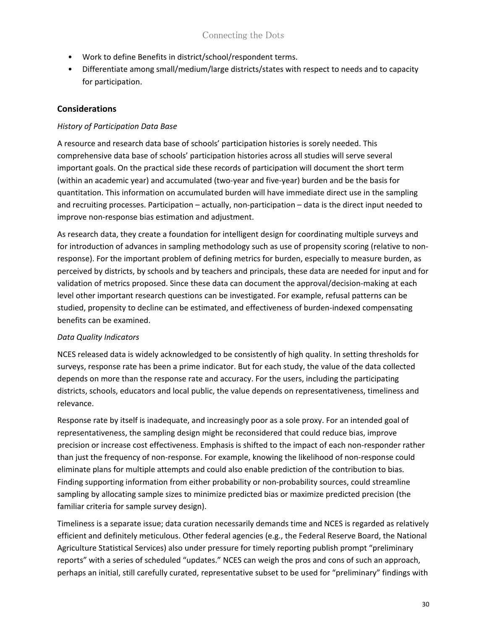- Work to define Benefits in district/school/respondent terms.
- Differentiate among small/medium/large districts/states with respect to needs and to capacity for participation.

# <span id="page-29-0"></span>**Considerations**

#### *History of Participation Data Base*

A resource and research data base of schools' participation histories is sorely needed. This comprehensive data base of schools' participation histories across all studies will serve several important goals. On the practical side these records of participation will document the short term (within an academic year) and accumulated (two-year and five-year) burden and be the basis for quantitation. This information on accumulated burden will have immediate direct use in the sampling and recruiting processes. Participation – actually, non-participation – data is the direct input needed to improve non-response bias estimation and adjustment.

As research data, they create a foundation for intelligent design for coordinating multiple surveys and for introduction of advances in sampling methodology such as use of propensity scoring (relative to nonresponse). For the important problem of defining metrics for burden, especially to measure burden, as perceived by districts, by schools and by teachers and principals, these data are needed for input and for validation of metrics proposed. Since these data can document the approval/decision-making at each level other important research questions can be investigated. For example, refusal patterns can be studied, propensity to decline can be estimated, and effectiveness of burden-indexed compensating benefits can be examined.

# *Data Quality Indicators*

NCES released data is widely acknowledged to be consistently of high quality. In setting thresholds for surveys, response rate has been a prime indicator. But for each study, the value of the data collected depends on more than the response rate and accuracy. For the users, including the participating districts, schools, educators and local public, the value depends on representativeness, timeliness and relevance.

Response rate by itself is inadequate, and increasingly poor as a sole proxy. For an intended goal of representativeness, the sampling design might be reconsidered that could reduce bias, improve precision or increase cost effectiveness. Emphasis is shifted to the impact of each non-responder rather than just the frequency of non-response. For example, knowing the likelihood of non-response could eliminate plans for multiple attempts and could also enable prediction of the contribution to bias. Finding supporting information from either probability or non-probability sources, could streamline sampling by allocating sample sizes to minimize predicted bias or maximize predicted precision (the familiar criteria for sample survey design).

Timeliness is a separate issue; data curation necessarily demands time and NCES is regarded as relatively efficient and definitely meticulous. Other federal agencies (e.g., the Federal Reserve Board, the National Agriculture Statistical Services) also under pressure for timely reporting publish prompt "preliminary reports" with a series of scheduled "updates." NCES can weigh the pros and cons of such an approach, perhaps an initial, still carefully curated, representative subset to be used for "preliminary" findings with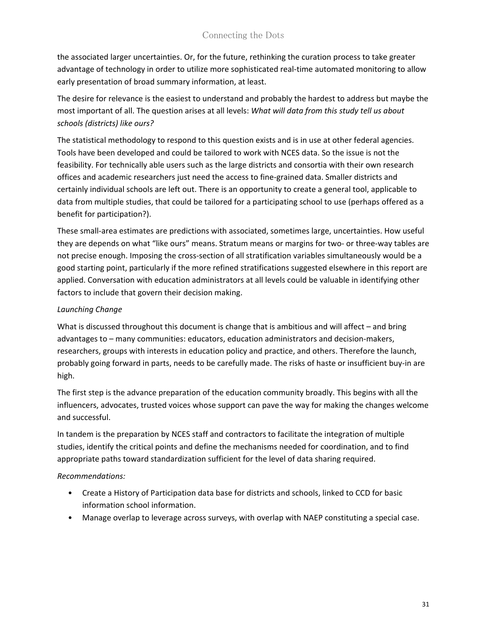the associated larger uncertainties. Or, for the future, rethinking the curation process to take greater advantage of technology in order to utilize more sophisticated real-time automated monitoring to allow early presentation of broad summary information, at least.

The desire for relevance is the easiest to understand and probably the hardest to address but maybe the most important of all. The question arises at all levels: *What will data from this study tell us about schools (districts) like ours?*

The statistical methodology to respond to this question exists and is in use at other federal agencies. Tools have been developed and could be tailored to work with NCES data. So the issue is not the feasibility. For technically able users such as the large districts and consortia with their own research offices and academic researchers just need the access to fine-grained data. Smaller districts and certainly individual schools are left out. There is an opportunity to create a general tool, applicable to data from multiple studies, that could be tailored for a participating school to use (perhaps offered as a benefit for participation?).

These small-area estimates are predictions with associated, sometimes large, uncertainties. How useful they are depends on what "like ours" means. Stratum means or margins for two- or three-way tables are not precise enough. Imposing the cross-section of all stratification variables simultaneously would be a good starting point, particularly if the more refined stratifications suggested elsewhere in this report are applied. Conversation with education administrators at all levels could be valuable in identifying other factors to include that govern their decision making.

#### *Launching Change*

What is discussed throughout this document is change that is ambitious and will affect – and bring advantages to – many communities: educators, education administrators and decision-makers, researchers, groups with interests in education policy and practice, and others. Therefore the launch, probably going forward in parts, needs to be carefully made. The risks of haste or insufficient buy-in are high.

The first step is the advance preparation of the education community broadly. This begins with all the influencers, advocates, trusted voices whose support can pave the way for making the changes welcome and successful.

In tandem is the preparation by NCES staff and contractors to facilitate the integration of multiple studies, identify the critical points and define the mechanisms needed for coordination, and to find appropriate paths toward standardization sufficient for the level of data sharing required.

#### *Recommendations:*

- Create a History of Participation data base for districts and schools, linked to CCD for basic information school information.
- Manage overlap to leverage across surveys, with overlap with NAEP constituting a special case.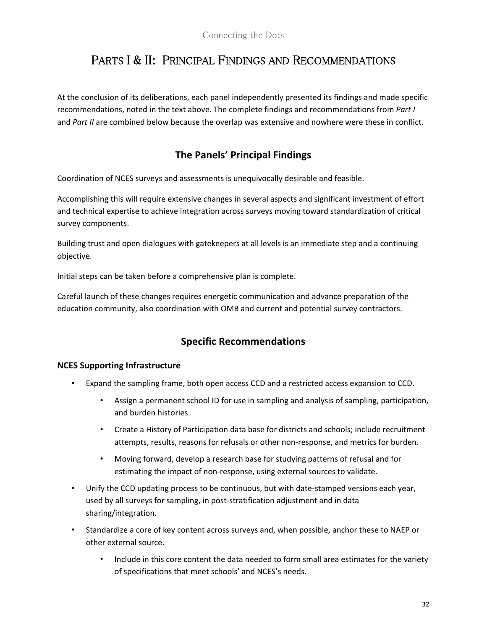# <span id="page-31-0"></span>PARTS I & II: PRINCIPAL FINDINGS AND RECOMMENDATIONS

At the conclusion of its deliberations, each panel independently presented its findings and made specific recommendations, noted in the text above. The complete findings and recommendations from *Part I* and *Part II* are combined below because the overlap was extensive and nowhere were these in conflict.

# **The Panels' Principal Findings**

Coordination of NCES surveys and assessments is unequivocally desirable and feasible.

Accomplishing this will require extensive changes in several aspects and significant investment of effort and technical expertise to achieve integration across surveys moving toward standardization of critical survey components.

Building trust and open dialogues with gatekeepers at all levels is an immediate step and a continuing objective.

Initial steps can be taken before a comprehensive plan is complete.

Careful launch of these changes requires energetic communication and advance preparation of the education community, also coordination with OMB and current and potential survey contractors.

# **Specific Recommendations**

#### **NCES Supporting Infrastructure**

- Expand the sampling frame, both open access CCD and a restricted access expansion to CCD.
	- Assign a permanent school ID for use in sampling and analysis of sampling, participation, and burden histories.
	- Create a History of Participation data base for districts and schools; include recruitment attempts, results, reasons for refusals or other non-response, and metrics for burden.
	- Moving forward, develop a research base for studying patterns of refusal and for estimating the impact of non-response, using external sources to validate.
- Unify the CCD updating process to be continuous, but with date-stamped versions each year, used by all surveys for sampling, in post-stratification adjustment and in data sharing/integration.
- Standardize a core of key content across surveys and, when possible, anchor these to NAEP or other external source.
	- Include in this core content the data needed to form small area estimates for the variety of specifications that meet schools' and NCES's needs.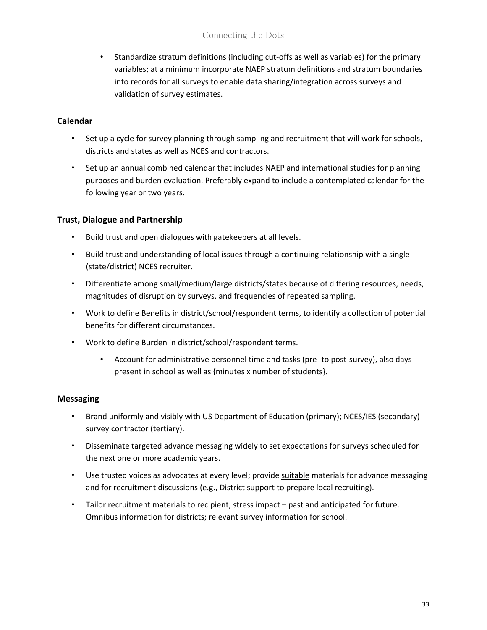• Standardize stratum definitions (including cut-offs as well as variables) for the primary variables; at a minimum incorporate NAEP stratum definitions and stratum boundaries into records for all surveys to enable data sharing/integration across surveys and validation of survey estimates.

# **Calendar**

- Set up a cycle for survey planning through sampling and recruitment that will work for schools, districts and states as well as NCES and contractors.
- Set up an annual combined calendar that includes NAEP and international studies for planning purposes and burden evaluation. Preferably expand to include a contemplated calendar for the following year or two years.

# **Trust, Dialogue and Partnership**

- Build trust and open dialogues with gatekeepers at all levels.
- Build trust and understanding of local issues through a continuing relationship with a single (state/district) NCES recruiter.
- Differentiate among small/medium/large districts/states because of differing resources, needs, magnitudes of disruption by surveys, and frequencies of repeated sampling.
- Work to define Benefits in district/school/respondent terms, to identify a collection of potential benefits for different circumstances.
- Work to define Burden in district/school/respondent terms.
	- Account for administrative personnel time and tasks (pre- to post-survey), also days present in school as well as {minutes x number of students}.

# **Messaging**

- Brand uniformly and visibly with US Department of Education (primary); NCES/IES (secondary) survey contractor (tertiary).
- Disseminate targeted advance messaging widely to set expectations for surveys scheduled for the next one or more academic years.
- Use trusted voices as advocates at every level; provide suitable materials for advance messaging and for recruitment discussions (e.g., District support to prepare local recruiting).
- Tailor recruitment materials to recipient; stress impact past and anticipated for future. Omnibus information for districts; relevant survey information for school.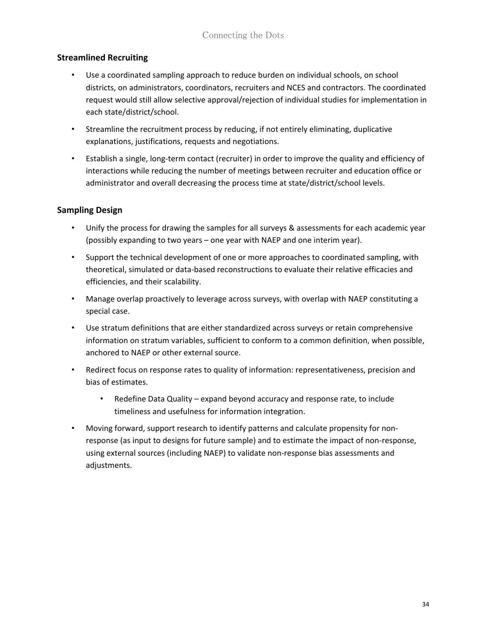### **Streamlined Recruiting**

- Use a coordinated sampling approach to reduce burden on individual schools, on school districts, on administrators, coordinators, recruiters and NCES and contractors. The coordinated request would still allow selective approval/rejection of individual studies for implementation in each state/district/school.
- Streamline the recruitment process by reducing, if not entirely eliminating, duplicative explanations, justifications, requests and negotiations.
- Establish a single, long-term contact (recruiter) in order to improve the quality and efficiency of interactions while reducing the number of meetings between recruiter and education office or administrator and overall decreasing the process time at state/district/school levels.

# **Sampling Design**

- Unify the process for drawing the samples for all surveys & assessments for each academic year (possibly expanding to two years – one year with NAEP and one interim year).
- Support the technical development of one or more approaches to coordinated sampling, with theoretical, simulated or data-based reconstructions to evaluate their relative efficacies and efficiencies, and their scalability.
- Manage overlap proactively to leverage across surveys, with overlap with NAEP constituting a special case.
- Use stratum definitions that are either standardized across surveys or retain comprehensive information on stratum variables, sufficient to conform to a common definition, when possible, anchored to NAEP or other external source.
- Redirect focus on response rates to quality of information: representativeness, precision and bias of estimates.
	- Redefine Data Quality expand beyond accuracy and response rate, to include timeliness and usefulness for information integration.
- Moving forward, support research to identify patterns and calculate propensity for nonresponse (as input to designs for future sample) and to estimate the impact of non-response, using external sources (including NAEP) to validate non-response bias assessments and adjustments.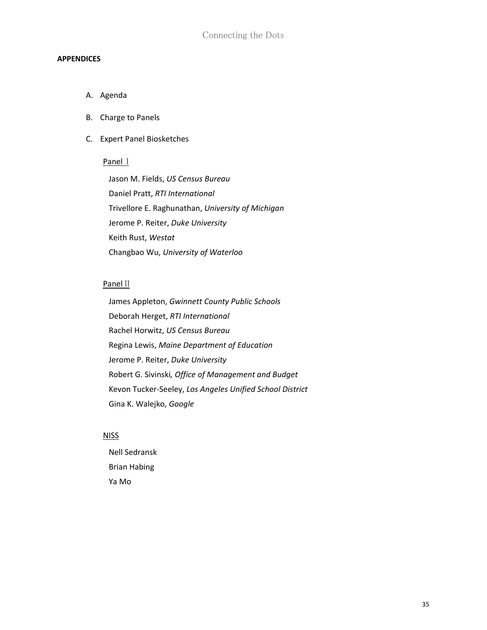#### **APPENDICES**

- A. Agenda
- B. Charge to Panels
- C. Expert Panel Biosketches

#### Panel I

Jason M. Fields, *US Census Bureau* Daniel Pratt, *RTI International* Trivellore E. Raghunathan, *University of Michigan* Jerome P. Reiter, *Duke University* Keith Rust, *Westat* Changbao Wu, *University of Waterloo*

#### Panel II

James Appleton, *Gwinnett County Public Schools* Deborah Herget, *RTI International* Rachel Horwitz, *US Census Bureau* Regina Lewis, *Maine Department of Education* Jerome P. Reiter, *Duke University* Robert G. Sivinski*, Office of Management and Budget* Kevon Tucker-Seeley, *Los Angeles Unified School District* Gina K. Walejko, *Google*

#### **NISS**

Nell Sedransk Brian Habing Ya Mo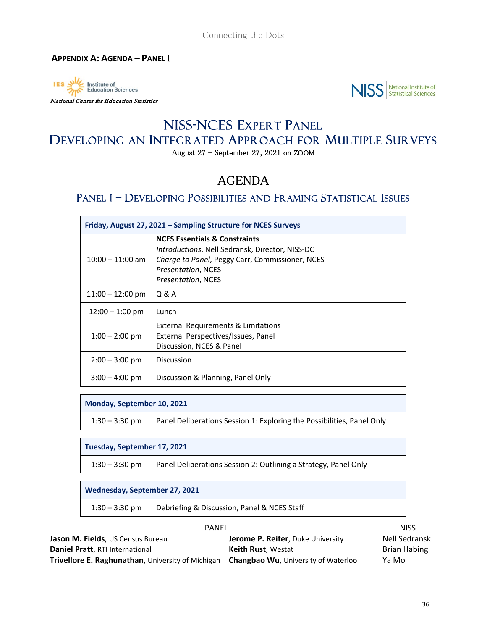<span id="page-35-0"></span>



# NISS-NCES EXPERT PANEL DEVELOPING AN INTEGRATED APPROACH FOR MULTIPLE SURVEYS

August 27 - September 27, 2021 on ZOOM

# AGENDA

# PANEL I – DEVELOPING POSSIBILITIES AND FRAMING STATISTICAL ISSUES

| Friday, August 27, 2021 - Sampling Structure for NCES Surveys |                                                                                                                                                                                                                 |  |
|---------------------------------------------------------------|-----------------------------------------------------------------------------------------------------------------------------------------------------------------------------------------------------------------|--|
| $10:00 - 11:00$ am                                            | <b>NCES Essentials &amp; Constraints</b><br><i>Introductions, Nell Sedransk, Director, NISS-DC</i><br>Charge to Panel, Peggy Carr, Commissioner, NCES<br><i>Presentation, NCES</i><br><b>Presentation, NCES</b> |  |
| $11:00 - 12:00$ pm                                            | Q & A                                                                                                                                                                                                           |  |
| $12:00 - 1:00$ pm                                             | Lunch                                                                                                                                                                                                           |  |
| $1:00 - 2:00$ pm                                              | <b>External Requirements &amp; Limitations</b><br>External Perspectives/Issues, Panel<br>Discussion, NCES & Panel                                                                                               |  |
| $2:00 - 3:00$ pm                                              | Discussion                                                                                                                                                                                                      |  |
| $3:00 - 4:00$ pm                                              | Discussion & Planning, Panel Only                                                                                                                                                                               |  |

**Monday, September 10, 2021**

| $1:30 - 3:30$ pm | Panel Deliberations Session 1: Exploring the Possibilities, Panel Only |
|------------------|------------------------------------------------------------------------|
|                  |                                                                        |

**Tuesday, September 17, 2021**

| 1:30 – 3:30 pm | Panel Deliberations Session 2: Outlining a Strategy, Panel Only |
|----------------|-----------------------------------------------------------------|
|----------------|-----------------------------------------------------------------|

**Wednesday, September 27, 2021**

| $1:30 - 3:30$ pm | Debriefing & Discussion, Panel & NCES Staff |
|------------------|---------------------------------------------|
|------------------|---------------------------------------------|

| <b>PANEL</b>                                      |                                            | <b>NISS</b>          |
|---------------------------------------------------|--------------------------------------------|----------------------|
| <b>Jason M. Fields</b> , US Census Bureau         | <b>Jerome P. Reiter, Duke University</b>   | <b>Nell Sedransk</b> |
| Daniel Pratt, RTI International                   | <b>Keith Rust. Westat</b>                  | Brian Habing         |
| Trivellore E. Raghunathan, University of Michigan | <b>Changbao Wu, University of Waterloo</b> | Ya Mo                |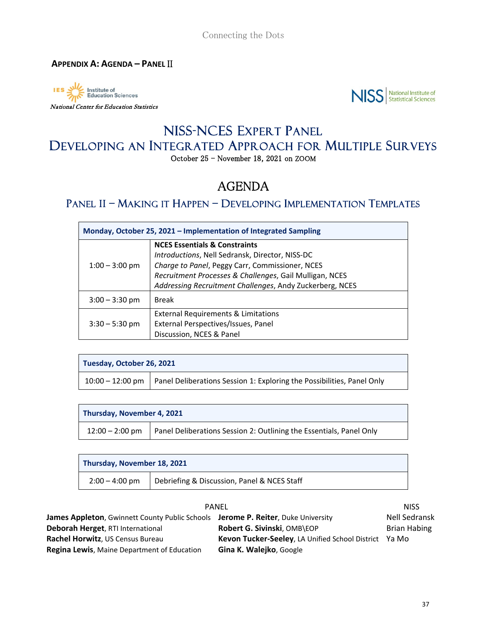<span id="page-36-0"></span>Institute of<br>Education Sciences IES -

 $\mathbf{r}$ 

#### National Center for Education Statistics



# NISS-NCES EXPERT PANEL DEVELOPING AN INTEGRATED APPROACH FOR MULTIPLE SURVEYS October 25 - November 18, 2021 on ZOOM

# AGENDA

# PANEL II – MAKING IT HAPPEN – DEVELOPING IMPLEMENTATION TEMPLATES

| Monday, October 25, 2021 - Implementation of Integrated Sampling |                                                                                                                                                                                                                                                                       |  |
|------------------------------------------------------------------|-----------------------------------------------------------------------------------------------------------------------------------------------------------------------------------------------------------------------------------------------------------------------|--|
| $1:00 - 3:00$ pm                                                 | <b>NCES Essentials &amp; Constraints</b><br>Introductions, Nell Sedransk, Director, NISS-DC<br>Charge to Panel, Peggy Carr, Commissioner, NCES<br>Recruitment Processes & Challenges, Gail Mulligan, NCES<br>Addressing Recruitment Challenges, Andy Zuckerberg, NCES |  |
| $3:00 - 3:30$ pm                                                 | <b>Break</b>                                                                                                                                                                                                                                                          |  |
| $3:30 - 5:30$ pm                                                 | External Requirements & Limitations<br>External Perspectives/Issues, Panel<br>Discussion, NCES & Panel                                                                                                                                                                |  |

| Tuesday, October 26, 2021 |                                                                                             |  |
|---------------------------|---------------------------------------------------------------------------------------------|--|
|                           | $10:00 - 12:00$ pm   Panel Deliberations Session 1: Exploring the Possibilities, Panel Only |  |

| Thursday, November 4, 2021 |                                                                     |  |
|----------------------------|---------------------------------------------------------------------|--|
| $12:00 - 2:00$ pm          | Panel Deliberations Session 2: Outlining the Essentials, Panel Only |  |

| Thursday, November 18, 2021 |                                             |
|-----------------------------|---------------------------------------------|
| $2:00 - 4:00$ pm            | Debriefing & Discussion, Panel & NCES Staff |

| <b>PANEL</b>                                                                     |                                                              |                      |
|----------------------------------------------------------------------------------|--------------------------------------------------------------|----------------------|
| James Appleton, Gwinnett County Public Schools Jerome P. Reiter, Duke University |                                                              | <b>Nell Sedransk</b> |
| Deborah Herget, RTI International                                                | Robert G. Sivinski, OMB\EOP                                  | <b>Brian Habing</b>  |
| Rachel Horwitz, US Census Bureau                                                 | <b>Kevon Tucker-Seeley, LA Unified School District Ya Mo</b> |                      |
| <b>Regina Lewis, Maine Department of Education</b>                               | Gina K. Walejko, Google                                      |                      |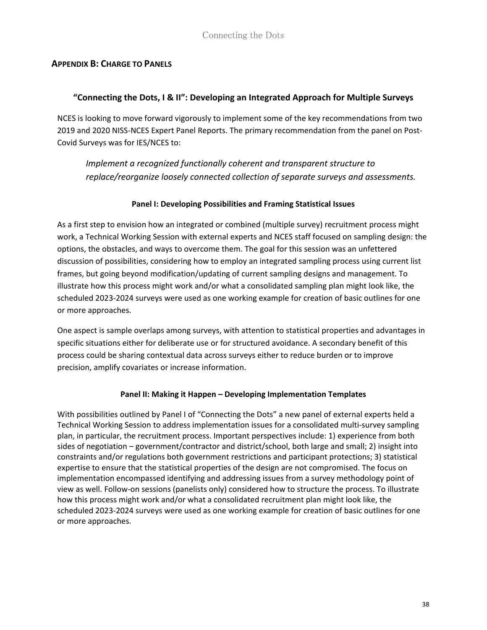### <span id="page-37-0"></span>**APPENDIX B: CHARGE TO PANELS**

#### **"Connecting the Dots, I & II": Developing an Integrated Approach for Multiple Surveys**

NCES is looking to move forward vigorously to implement some of the key recommendations from two 2019 and 2020 NISS-NCES Expert Panel Reports. The primary recommendation from the panel on Post-Covid Surveys was for IES/NCES to:

*Implement a recognized functionally coherent and transparent structure to replace/reorganize loosely connected collection of separate surveys and assessments.*

#### **Panel I: Developing Possibilities and Framing Statistical Issues**

As a first step to envision how an integrated or combined (multiple survey) recruitment process might work, a Technical Working Session with external experts and NCES staff focused on sampling design: the options, the obstacles, and ways to overcome them. The goal for this session was an unfettered discussion of possibilities, considering how to employ an integrated sampling process using current list frames, but going beyond modification/updating of current sampling designs and management. To illustrate how this process might work and/or what a consolidated sampling plan might look like, the scheduled 2023-2024 surveys were used as one working example for creation of basic outlines for one or more approaches.

One aspect is sample overlaps among surveys, with attention to statistical properties and advantages in specific situations either for deliberate use or for structured avoidance. A secondary benefit of this process could be sharing contextual data across surveys either to reduce burden or to improve precision, amplify covariates or increase information.

#### **Panel II: Making it Happen – Developing Implementation Templates**

With possibilities outlined by Panel I of "Connecting the Dots" a new panel of external experts held a Technical Working Session to address implementation issues for a consolidated multi-survey sampling plan, in particular, the recruitment process. Important perspectives include: 1) experience from both sides of negotiation – government/contractor and district/school, both large and small; 2) insight into constraints and/or regulations both government restrictions and participant protections; 3) statistical expertise to ensure that the statistical properties of the design are not compromised. The focus on implementation encompassed identifying and addressing issues from a survey methodology point of view as well. Follow-on sessions (panelists only) considered how to structure the process. To illustrate how this process might work and/or what a consolidated recruitment plan might look like, the scheduled 2023-2024 surveys were used as one working example for creation of basic outlines for one or more approaches.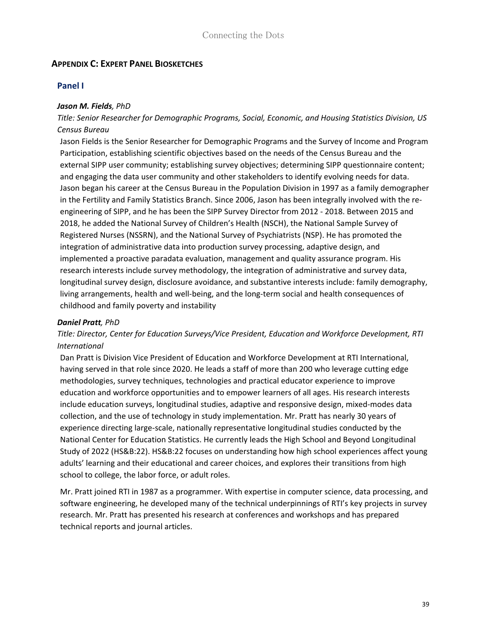### <span id="page-38-0"></span>**APPENDIX C: EXPERT PANEL BIOSKETCHES**

#### **Panel I**

#### *Jason M. Fields, PhD*

# *Title: Senior Researcher for Demographic Programs, Social, Economic, and Housing Statistics Division, US Census Bureau*

Jason Fields is the Senior Researcher for Demographic Programs and the Survey of Income and Program Participation, establishing scientific objectives based on the needs of the Census Bureau and the external SIPP user community; establishing survey objectives; determining SIPP questionnaire content; and engaging the data user community and other stakeholders to identify evolving needs for data. Jason began his career at the Census Bureau in the Population Division in 1997 as a family demographer in the Fertility and Family Statistics Branch. Since 2006, Jason has been integrally involved with the reengineering of SIPP, and he has been the SIPP Survey Director from 2012 - 2018. Between 2015 and 2018, he added the National Survey of Children's Health (NSCH), the National Sample Survey of Registered Nurses (NSSRN), and the National Survey of Psychiatrists (NSP). He has promoted the integration of administrative data into production survey processing, adaptive design, and implemented a proactive paradata evaluation, management and quality assurance program. His research interests include survey methodology, the integration of administrative and survey data, longitudinal survey design, disclosure avoidance, and substantive interests include: family demography, living arrangements, health and well-being, and the long-term social and health consequences of childhood and family poverty and instability

#### *Daniel Pratt, PhD*

#### *Title: Director, Center for Education Surveys/Vice President, Education and Workforce Development, RTI International*

Dan Pratt is Division Vice President of Education and Workforce Development at RTI International, having served in that role since 2020. He leads a staff of more than 200 who leverage cutting edge methodologies, survey techniques, technologies and practical educator experience to improve education and workforce opportunities and to empower learners of all ages. His research interests include education surveys, longitudinal studies, adaptive and responsive design, mixed-modes data collection, and the use of technology in study implementation. Mr. Pratt has nearly 30 years of experience directing large-scale, nationally representative longitudinal studies conducted by the National Center for Education Statistics. He currently leads the High School and Beyond Longitudinal Study of 2022 (HS&B:22). HS&B:22 focuses on understanding how high school experiences affect young adults' learning and their educational and career choices, and explores their transitions from high school to college, the labor force, or adult roles.

Mr. Pratt joined RTI in 1987 as a programmer. With expertise in computer science, data processing, and software engineering, he developed many of the technical underpinnings of RTI's key projects in survey research. Mr. Pratt has presented his research at conferences and workshops and has prepared technical reports and journal articles.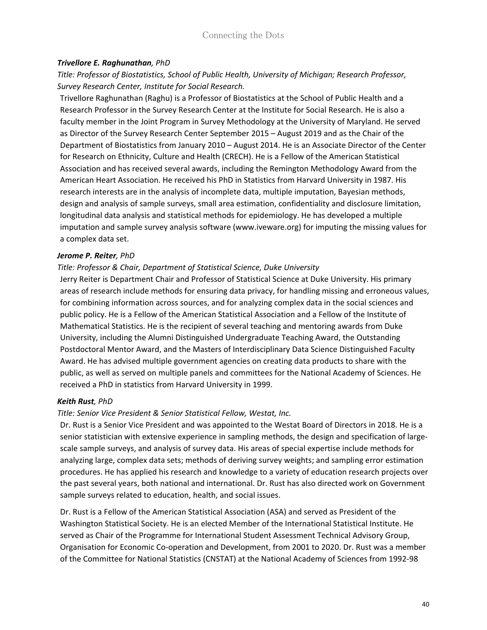#### *Trivellore E. Raghunathan, PhD*

*Title: Professor of Biostatistics, School of Public Health, University of Michigan; Research Professor, Survey Research Center, Institute for Social Research.*

Trivellore Raghunathan (Raghu) is a Professor of Biostatistics at the School of Public Health and a Research Professor in the Survey Research Center at the Institute for Social Research. He is also a faculty member in the Joint Program in Survey Methodology at the University of Maryland. He served as Director of the Survey Research Center September 2015 – August 2019 and as the Chair of the Department of Biostatistics from January 2010 – August 2014. He is an Associate Director of the Center for Research on Ethnicity, Culture and Health (CRECH). He is a Fellow of the American Statistical Association and has received several awards, including the Remington Methodology Award from the American Heart Association. He received his PhD in Statistics from Harvard University in 1987. His research interests are in the analysis of incomplete data, multiple imputation, Bayesian methods, design and analysis of sample surveys, small area estimation, confidentiality and disclosure limitation, longitudinal data analysis and statistical methods for epidemiology. He has developed a multiple imputation and sample survey analysis software (www.iveware.org) for imputing the missing values for a complex data set.

#### *Jerome P. Reiter, PhD*

#### *Title: Professor & Chair, Department of Statistical Science, Duke University*

Jerry Reiter is Department Chair and Professor of Statistical Science at Duke University. His primary areas of research include methods for ensuring data privacy, for handling missing and erroneous values, for combining information across sources, and for analyzing complex data in the social sciences and public policy. He is a Fellow of the American Statistical Association and a Fellow of the Institute of Mathematical Statistics. He is the recipient of several teaching and mentoring awards from Duke University, including the Alumni Distinguished Undergraduate Teaching Award, the Outstanding Postdoctoral Mentor Award, and the Masters of Interdisciplinary Data Science Distinguished Faculty Award. He has advised multiple government agencies on creating data products to share with the public, as well as served on multiple panels and committees for the National Academy of Sciences. He received a PhD in statistics from Harvard University in 1999.

#### *Keith Rust, PhD*

#### *Title: Senior Vice President & Senior Statistical Fellow, Westat, Inc.*

Dr. Rust is a Senior Vice President and was appointed to the Westat Board of Directors in 2018. He is a senior statistician with extensive experience in sampling methods, the design and specification of largescale sample surveys, and analysis of survey data. His areas of special expertise include methods for analyzing large, complex data sets; methods of deriving survey weights; and sampling error estimation procedures. He has applied his research and knowledge to a variety of education research projects over the past several years, both national and international. Dr. Rust has also directed work on Government sample surveys related to education, health, and social issues.

Dr. Rust is a Fellow of the American Statistical Association (ASA) and served as President of the Washington Statistical Society. He is an elected Member of the International Statistical Institute. He served as Chair of the Programme for International Student Assessment Technical Advisory Group, Organisation for Economic Co-operation and Development, from 2001 to 2020. Dr. Rust was a member of the Committee for National Statistics (CNSTAT) at the National Academy of Sciences from 1992-98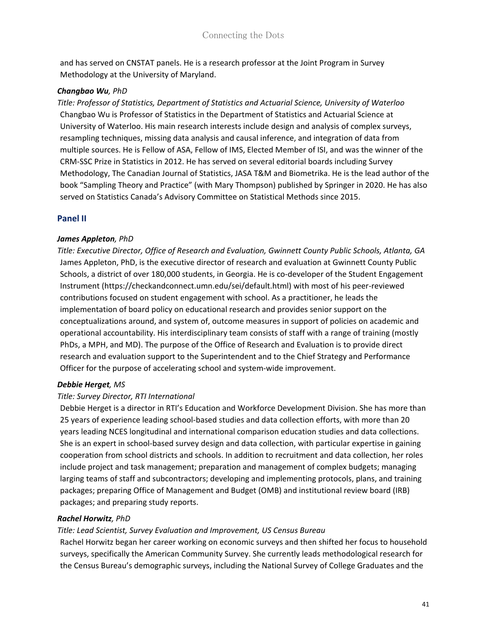and has served on CNSTAT panels. He is a research professor at the Joint Program in Survey Methodology at the University of Maryland.

#### *Changbao Wu, PhD*

*Title: Professor of Statistics, Department of Statistics and Actuarial Science, University of Waterloo* Changbao Wu is Professor of Statistics in the Department of Statistics and Actuarial Science at University of Waterloo. His main research interests include design and analysis of complex surveys, resampling techniques, missing data analysis and causal inference, and integration of data from multiple sources. He is Fellow of ASA, Fellow of IMS, Elected Member of ISI, and was the winner of the CRM-SSC Prize in Statistics in 2012. He has served on several editorial boards including Survey Methodology, The Canadian Journal of Statistics, JASA T&M and Biometrika. He is the lead author of the book "Sampling Theory and Practice" (with Mary Thompson) published by Springer in 2020. He has also served on Statistics Canada's Advisory Committee on Statistical Methods since 2015.

# **Panel II**

#### *James Appleton, PhD*

*Title: Executive Director, Office of Research and Evaluation, Gwinnett County Public Schools, Atlanta, GA* James Appleton, PhD, is the executive director of research and evaluation at Gwinnett County Public Schools, a district of over 180,000 students, in Georgia. He is co-developer of the Student Engagement Instrument (https://checkandconnect.umn.edu/sei/default.html) with most of his peer-reviewed contributions focused on student engagement with school. As a practitioner, he leads the implementation of board policy on educational research and provides senior support on the conceptualizations around, and system of, outcome measures in support of policies on academic and operational accountability. His interdisciplinary team consists of staff with a range of training (mostly PhDs, a MPH, and MD). The purpose of the Office of Research and Evaluation is to provide direct research and evaluation support to the Superintendent and to the Chief Strategy and Performance Officer for the purpose of accelerating school and system-wide improvement.

#### *Debbie Herget, MS*

#### *Title: Survey Director, RTI International*

Debbie Herget is a director in RTI's Education and Workforce Development Division. She has more than 25 years of experience leading school-based studies and data collection efforts, with more than 20 years leading NCES longitudinal and international comparison education studies and data collections. She is an expert in school-based survey design and data collection, with particular expertise in gaining cooperation from school districts and schools. In addition to recruitment and data collection, her roles include project and task management; preparation and management of complex budgets; managing larging teams of staff and subcontractors; developing and implementing protocols, plans, and training packages; preparing Office of Management and Budget (OMB) and institutional review board (IRB) packages; and preparing study reports.

#### *Rachel Horwitz, PhD*

#### *Title: Lead Scientist, Survey Evaluation and Improvement, US Census Bureau*

Rachel Horwitz began her career working on economic surveys and then shifted her focus to household surveys, specifically the American Community Survey. She currently leads methodological research for the Census Bureau's demographic surveys, including the National Survey of College Graduates and the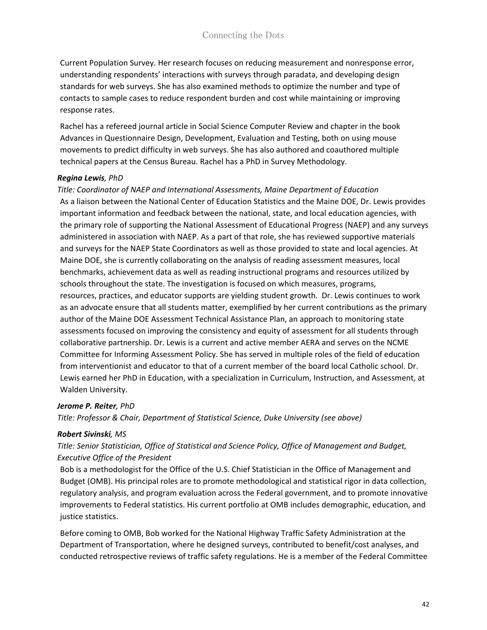Current Population Survey. Her research focuses on reducing measurement and nonresponse error, understanding respondents' interactions with surveys through paradata, and developing design standards for web surveys. She has also examined methods to optimize the number and type of contacts to sample cases to reduce respondent burden and cost while maintaining or improving response rates.

Rachel has a refereed journal article in Social Science Computer Review and chapter in the book Advances in Questionnaire Design, Development, Evaluation and Testing, both on using mouse movements to predict difficulty in web surveys. She has also authored and coauthored multiple technical papers at the Census Bureau. Rachel has a PhD in Survey Methodology.

#### *Regina Lewis, PhD*

*Title: Coordinator of NAEP and International Assessments, Maine Department of Education* As a liaison between the National Center of Education Statistics and the Maine DOE, Dr. Lewis provides important information and feedback between the national, state, and local education agencies, with the primary role of supporting the National Assessment of Educational Progress (NAEP) and any surveys administered in association with NAEP. As a part of that role, she has reviewed supportive materials and surveys for the NAEP State Coordinators as well as those provided to state and local agencies. At Maine DOE, she is currently collaborating on the analysis of reading assessment measures, local benchmarks, achievement data as well as reading instructional programs and resources utilized by schools throughout the state. The investigation is focused on which measures, programs, resources, practices, and educator supports are yielding student growth.  Dr. Lewis continues to work as an advocate ensure that all students matter, exemplified by her current contributions as the primary author of the Maine DOE Assessment Technical Assistance Plan, an approach to monitoring state assessments focused on improving the consistency and equity of assessment for all students through collaborative partnership. Dr. Lewis is a current and active member AERA and serves on the NCME Committee for Informing Assessment Policy. She has served in multiple roles of the field of education from interventionist and educator to that of a current member of the board local Catholic school. Dr. Lewis earned her PhD in Education, with a specialization in Curriculum, Instruction, and Assessment, at Walden University.

#### *Jerome P. Reiter, PhD*

*Title: Professor & Chair, Department of Statistical Science, Duke University (see above)*

#### *Robert Sivinski, MS*

*Title: Senior Statistician, Office of Statistical and Science Policy, Office of Management and Budget, Executive Office of the President*

Bob is a methodologist for the Office of the U.S. Chief Statistician in the Office of Management and Budget (OMB). His principal roles are to promote methodological and statistical rigor in data collection, regulatory analysis, and program evaluation across the Federal government, and to promote innovative improvements to Federal statistics. His current portfolio at OMB includes demographic, education, and justice statistics.

Before coming to OMB, Bob worked for the National Highway Traffic Safety Administration at the Department of Transportation, where he designed surveys, contributed to benefit/cost analyses, and conducted retrospective reviews of traffic safety regulations. He is a member of the Federal Committee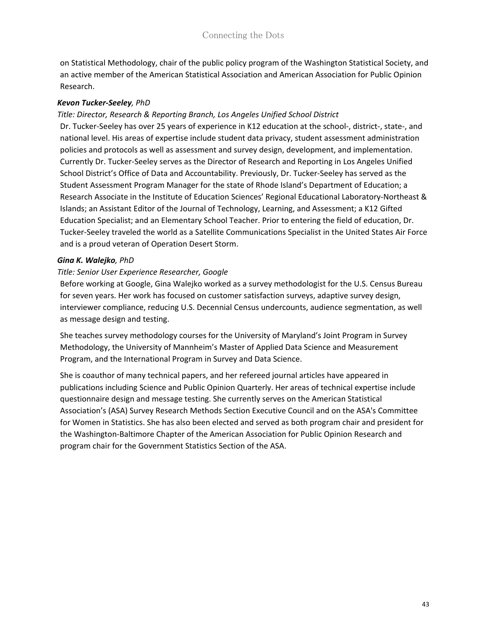on Statistical Methodology, chair of the public policy program of the Washington Statistical Society, and an active member of the American Statistical Association and American Association for Public Opinion Research.

#### *Kevon Tucker-Seeley, PhD*

#### *Title: Director, Research & Reporting Branch, Los Angeles Unified School District*

Dr. Tucker-Seeley has over 25 years of experience in K12 education at the school-, district-, state-, and national level. His areas of expertise include student data privacy, student assessment administration policies and protocols as well as assessment and survey design, development, and implementation. Currently Dr. Tucker-Seeley serves as the Director of Research and Reporting in Los Angeles Unified School District's Office of Data and Accountability. Previously, Dr. Tucker-Seeley has served as the Student Assessment Program Manager for the state of Rhode Island's Department of Education; a Research Associate in the Institute of Education Sciences' Regional Educational Laboratory-Northeast & Islands; an Assistant Editor of the Journal of Technology, Learning, and Assessment; a K12 Gifted Education Specialist; and an Elementary School Teacher. Prior to entering the field of education, Dr. Tucker-Seeley traveled the world as a Satellite Communications Specialist in the United States Air Force and is a proud veteran of Operation Desert Storm.

#### *Gina K. Walejko, PhD*

#### *Title: Senior User Experience Researcher, Google*

Before working at Google, Gina Walejko worked as a survey methodologist for the U.S. Census Bureau for seven years. Her work has focused on customer satisfaction surveys, adaptive survey design, interviewer compliance, reducing U.S. Decennial Census undercounts, audience segmentation, as well as message design and testing.

She teaches survey methodology courses for the University of Maryland's Joint Program in Survey Methodology, the University of Mannheim's Master of Applied Data Science and Measurement Program, and the International Program in Survey and Data Science.

She is coauthor of many technical papers, and her refereed journal articles have appeared in publications including Science and Public Opinion Quarterly. Her areas of technical expertise include questionnaire design and message testing. She currently serves on the American Statistical Association's (ASA) Survey Research Methods Section Executive Council and on the ASA's Committee for Women in Statistics. She has also been elected and served as both program chair and president for the Washington-Baltimore Chapter of the American Association for Public Opinion Research and program chair for the Government Statistics Section of the ASA.